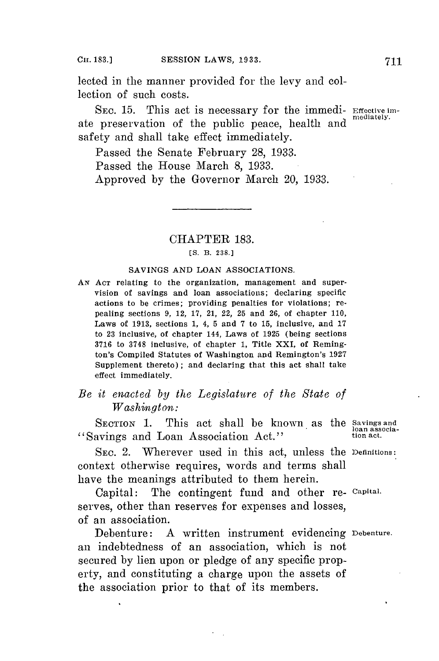lected in the manner provided **for** the levy and collection of such costs.

**SEC. 15.** This act is necessary **for** the immedi- Effective imate preservation of the public peace, health and safety and shall take effect immediately.

Passed the Senate February **28, 1933.**

Passed the House March **8, 1933.**

Approved **by** the Governor March 20, **1933.**

## CHAPTER **183.**

## **[S.** B. **238.]**

## SAVINGS **AND LOAN** ASSOCIATIONS.

*AN* **ACT** relating to the organization, management and supervision of savings and loan associations; declaring specific actions to be crimes; providing penalties for violations; repealing sections **9,** 12, **17,** 21, 22, **25** and **26,** of chapter **110,** Laws of **1913,** sections **1,** 4, **5** and **7** to **15,** inclusive, and **<sup>17</sup>** to **23** inclusive, of chapter 144, Laws of **1925** (being sections **3716** to **3748** inclusive, of chapter **1,** Title XXI, of Remington's Compiled Statutes of Washington and Remington's **1927** Supplement thereto) **;** and declaring that this act shall take effect immediately.

## *Be it enacted by the Legislature of the State of*  $W$ *ashington*:

SECTION 1. This act shall be known as the Savings and "Savings and Loan Association Act."

**SEC.** 2. Wherever used in this act, unless the Definitions: context otherwise requires, words and terms shall have the meanings attributed to them herein.

Capital: The contingent fund and other re- Capital. serves, other than reserves for expenses and losses, of an association.

Debenture: **A** written instrument evidencing Debenture. an indebtedness of an association, which is not secured **by** lien upon or pledge of any specific property, and constituting a charge upon the assets of the association prior to that of its members.

loan associa-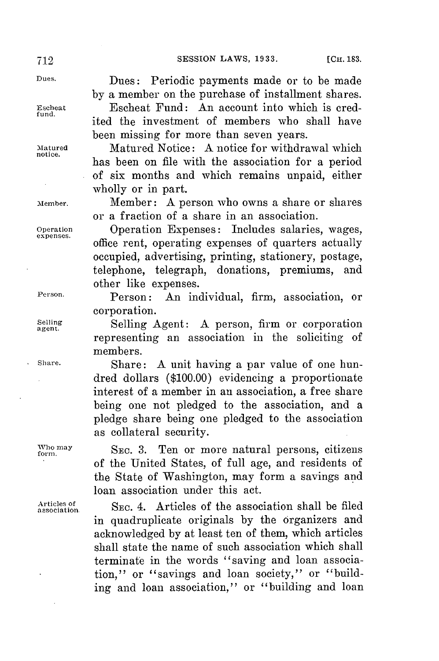notice.

Dues. Dues: Periodic payments made or to be made **by** a member on the purchase of installment shares.

**Escheat** Escheat Fund: An account into which is cred*ited* the investment of members who shall have been missing for more than seven years.

**Matured** Matured Notice: **A** notice **for** withdrawal which has been on file with the association for a period of six months and which remains unpaid, either wholly or in part.

**Member.** Member: **A** person who owns a share or shares or a fraction of a share in an association.

**Operation** Operation Expenses: Includes salaries, wages, **expenses.** office rent, operating expenses of quarters actually occupied, advertising, printing, stationery, postage, telephone, telegraph, donations, premiums, and other like expenses.

**Person.** Person: An individual, firm, association, or corporation.

Selling **Selling Agent: A person, firm or corporation** representing an association in the soliciting of members.

**Share.** Share: **A** unit having a par value of one hundred dollars **(\$100.00)** evidencing a proportionate interest of a member in an association, a free share being one not pledged to the association, and a pledge share being one pledged to the association as collateral security.

**fomay SEc. 3.** Ten or more natural persons, citizens of the United States, of full age, and residents of the State of Washington, may form a savings and loan association under this act.

> **association** SEC. 4. Articles of the association shall be filed in quadruplicate originals **by** the organizers and acknowledged **by** at least ten of them, which articles shall state the name of such association which shall terminate in the words "saving and loan association," or "savings and loan society," or "building and loan association," or "building and loan

**Articles of**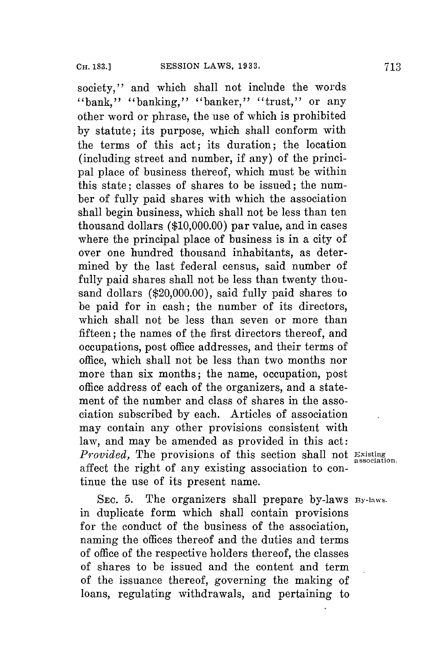society," and which shall not include the words "bank," "banking," "banker," "trust," or any other word or phrase, the use of which is prohibited **by** statute; its purpose, which shall conform with the terms of this act; its duration; the location (including street and number, if any) of the principal place of business thereof, which must be within this state; classes of shares to be issued; the number of fully paid shares with which the association shall begin business, which shall not be less than ten thousand dollars **(\$10,000.00)** par value, and in cases where the principal place of business is in a city of over one hundred thousand inhabitants, as determined **by** the last federal census, said number of fully paid shares shall not be less than twenty thousand dollars (\$20,000.00), said fully paid shares to be paid **for** in cash; the number of its directors, which shall not be less than seven or more than fifteen; the names of the first directors thereof, and occupations, post office addresses, and their terms of office, which shall not be less than two months nor more than six months; the name, occupation, post office address of each of the organizers, and a statement of the number and class of shares in the association subscribed **by** each. Articles of association may contain any other provisions consistent with law, and may be amended as provided in this act: *Provided,* The provisions of this section shall not **Existing association.** affect the right of any existing association to **con**tinue the use of its present name.

**SEC. 5.** The organizers shall prepare by-laws **By-laws.** in duplicate form which shall contain provisions for the conduct of the business of the association, naming the offices thereof and the duties and terms of office of the respective holders thereof, the classes of shares to be issued and the content and term of the issuance thereof, governing the making of loans, regulating withdrawals, and pertaining to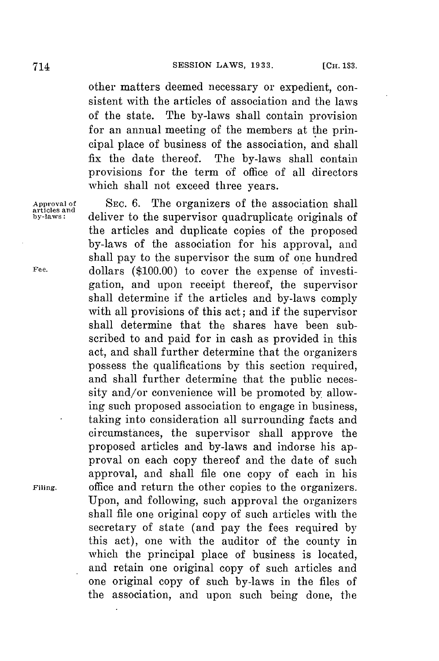other matters deemed necessary or expedient, consistent with the articles of association and the laws of the state. The by-laws shall contain provision for an annual meeting of the members at the principal place of business of the association, and shall fix the date thereof. The by-laws shall contain provisions for the term **of** office of all directors which shall not exceed three years.

**articles and**

SEC. 6. The organizers of the association shall deliver to the supervisor quadruplicate originals of the articles and duplicate copies of the proposed by-laws of the association for his approval, and shall pay to the supervisor the sum of one hundred **Fee.** dollars **(\$100.00)** to cover the expense of investigation, and upon receipt thereof, the supervisor shall determine if the articles and by-laws comply with all provisions of this act; and if the supervisor shall determine that the shares have been subscribed to and paid for in cash as provided in this act, and shall further determine that the organizers possess the qualifications **by** this section required, and shall further determine that the public necessity and/or convenience will be promoted **by** allowing such proposed association to engage in business, taking into consideration all surrounding facts and circumstances, the supervisor shall approve the proposed articles and by-laws and indorse his approval on each copy thereof and the date of such approval, and shall file one copy of each in his **Filing.** office and return the other copies to the organizers. Upon, and following, such approval the organizers shall file one original copy of such articles with the secretary of state (and pay the fees required **by** this act), one with the auditor of the county in which the principal place of business is located, and retain one original copy of such articles and one original copy of such by-laws in the files of the association, and upon such being done, the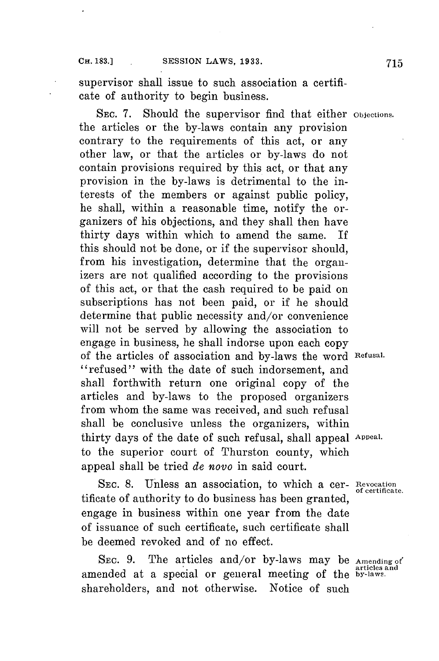supervisor shall issue to such association a certificate of authority to begin business.

SEC. **7.** Should the supervisor find that either **Objections.** the articles or the by-laws contain any provision contrary to the requirements of this act, or any other law, or that the articles or by-laws do not contain provisions required **by** this act, or that any provision in the by-laws is detrimental to the interests of the members or against public policy, he shall, within a reasonable time, notify the organizers of his objections, and they shall then have thirty days within which to amend the same. If this should not be done, or if the supervisor should, from his investigation, determine that the organizers are not qualified according to the provisions of this act, or that the cash required to be paid on subscriptions has not been paid, or if he should determine that public necessity and/or convenience will not be served **by** allowing the association to engage in business, he shall indorse upon each copy of the articles of association and by-laws the word **Refusal.** "refused" with the date of such indorsement, and shall forthwith return one original copy of the articles and by-laws to the proposed organizers from whom the same was received, and such refusal shall be conclusive unless the organizers, within thirty days of the date of such refusal, shall appeal Appeal. to the superior court of Thurston county, which appeal shall be tried *de novo* in said court.

**SEC. 8.** Unless an association, to which a cer- **Revocation of certificate.** tificate of authority to do business has been granted, engage in business within one year from the date of issuance of such certificate, such certificate shall be deemed revoked and of no effect.

SEC. **9.** The articles and/or by-laws may be **Amending of** amended at a special or general meeting of the by-laws. shareholders, and not otherwise. Notice of such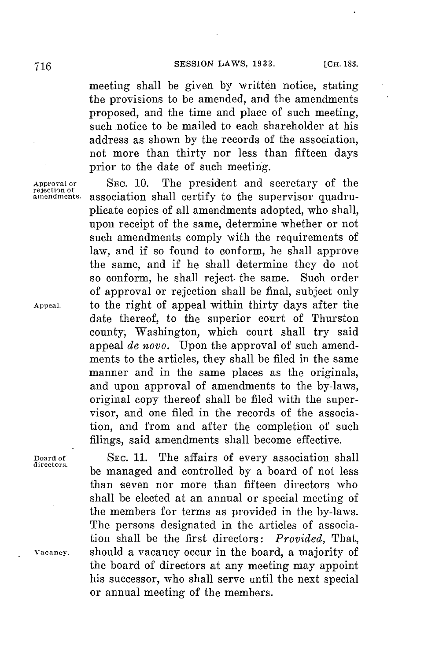meeting shall be given **by** written notice, stating the provisions to be amended, and the amendments proposed, and the time and place of such meeting, such notice to be mailed to each shareholder at his address as shown **by** the records of the association, not more than thirty nor less than fifteen days prior to the date of such meeting.

SEC. 10. The president and secretary of the association shall certify to the supervisor quadruplicate copies of all amendments adopted, who shall, upon receipt of the same, determine whether or not such amendments comply with the requirements of law, and if so found to conform, he shall approve the same, and if he shall determine they do not so conform, he shall reject. the same. Such order of approval or rejection shall be final, subject only **Appeal.** to the right of appeal within thirty days after the date thereof, to the superior court of Thurston county, Washington, which court shall try said appeal *de novo.* Upon the approval of such amendments to the articles, they shall be filed in the same manner and in the same places as the originals, and upon approval of amendments to the by-laws, original copy thereof shall be filed with the supervisor, and one filed in the records of the association, and from and after the completion of such filings, said amendments shall become effective.

**Board of SEC. 11.** The affairs of every association shall **directors.** be managed and controlled **by** a board of not less than seven nor more than fifteen directors who shall be elected at an annual or special meeting of the members for terms as provided in the by-laws. The persons designated in the articles of association shall be the first directors: *Provided,* That, **vacancy.** should a vacancy occur in the board, a majority of the board of directors at any meeting may appoint his successor, who shall serve until the next special or annual meeting of the members.

**rejection of**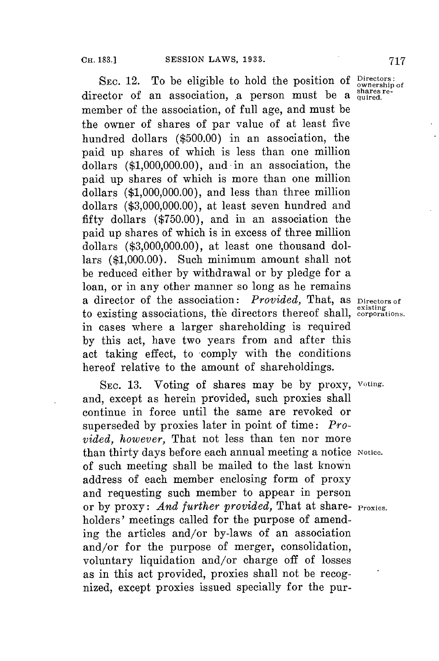SEC. 12. To be eligible to hold the position of Directors: director of an association, a person must be a <sup>shares re-</sup> member of the association, of full age, and must be the owner of shares of par value of at least five hundred dollars **(\$500.00)** in an association, the paid up shares of which is less than one million dollars **(\$1,000,000.00),** and in an association, the paid up shares of which is more than one million dollars **(\$1,000,000.00),** and less than three million dollars **(\$3,000,000.00),** at least seven hundred and fifty dollars **(\$750.00),** and in an association the paid up shares of which is in excess of three million dollars **(\$3,000,000.00),** at least one thousand dollars **(\$1,000.00).** Such minimum amount shall not be reduced either **by** withdrawal or **by** pledge for a loan, or in any other manner so long as he remains a director of the association: *Provided,* That, as **Directors of** to existing associations, the directors thereof shall, corporations. in cases where a larger shareholding is required **by** this act, have two years from and after this act taking effect, to comply with the conditions hereof relative to the amount of shareholdings.

**SEC. 13.** Voting of shares may be **by** proxy, **voting.** and, except as herein provided, such proxies shall continue in force until the same are revoked or superseded **by** proxies later in point of time: *Provided, however,* That not less than ten nor more than thirty days before each annual meeting a notice Notice. of such meeting shall be mailed to the last known address of each member enclosing form of proxy and requesting such member to appear in person or **by** proxy: *And further provided,* That at share- **Proxies.** holders' meetings called for the purpose of amending the articles and/or by-laws of an association and/or for the purpose of merger, consolidation, voluntary liquidation and/or charge off of losses as in this act provided, proxies shall not be recognized, except proxies issued specially for the pur-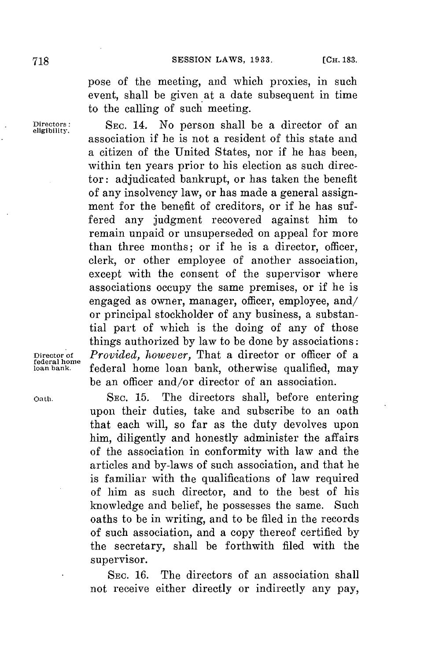pose of the meeting, and which proxies, in such event, shall be given at a date subsequent in time to the calling of such meeting.

**Directors: SEC.** 14. No person shall be a director of an **eligibility.** association if he is not a resident of this state and a citizen of the United States, nor if he has been, within ten years prior to his election as such director: adjudicated bankrupt, or has taken the benefit of any insolvency law, or has made a general assignment **for** the benefit of creditors, or if he has suffered any judgment recovered against him to remain unpaid or unsuperseded on appeal for more than three months; or if he is a director, officer, clerk, or other employee of another association, except with the consent of the supervisor where associations occupy the same premises, or if he is engaged as owner, manager, officer, employee, and/ or principal stockholder of any business, a substantial part of which is the doing of any of those things authorized **by** law to be done **by** associations: **Director of** *Provided, however,* That a director or officer of a federal home loan bank, otherwise qualified, may be an officer and/or director of an association.

**Oath. SEC. 15.** The directors shall, before entering upon their duties, take and subscribe to an oath that each will, so far as the duty devolves upon him, diligently and honestly administer the affairs of the association in conformity with law and the articles and by-laws of such association, and that he is familiar with the qualifications of law required of him as such director, and to the best of his knowledge and belief, he possesses the same. Such oaths to be in writing, and to be filed in the records of such association, and a copy thereof certified **by** the secretary, shall be forthwith filed with the supervisor.

> **SEc. 16.** The directors of an association shall not receive either directly or indirectly any pay,

**federal home**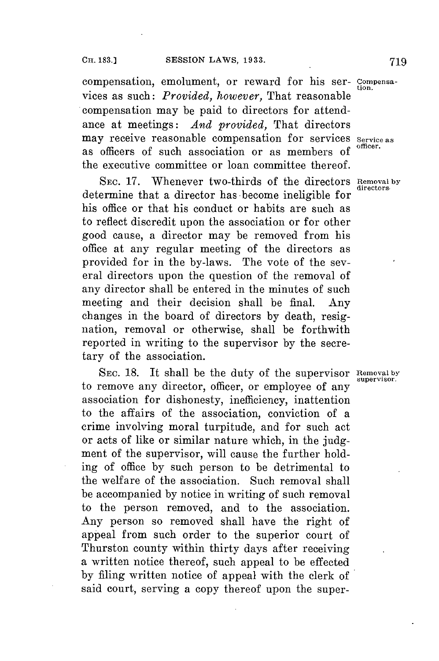compensation, emolument, or reward **for** his ser- **Compensa**tion. vices as such: *Provided, however,* That reasonable compensation may be paid to directors **for** attendance at meetings: *And provided,* That directors ance at meetings. And processes, and for services Service as may receive reasonable compensation for services Service as as officers of such association or as members **of** the executive committee or loan committee thereof.

**SEC. 17.** Whenever two-thirds of the directors **Removal by directors.** determine that a director has become ineligible for his office or that his conduct or habits are such as to reflect discredit upon the association or for other good cause, a director may be removed from his office at any regular meeting of the directors as provided **for** in the by-laws. The vote of the several directors upon the question of the removal of any director shall be entered in the minutes of such meeting and their decision shall be final. Any changes in the board of directors **by** death, resignation, removal or otherwise, shall be forthwith reported in writing to the supervisor **by** the secretary of the association.

SEC. 18. It shall be the duty of the supervisor Removal by supervisor. to remove any director, officer, or employee of any association for dishonesty, inefficiency, inattention to the affairs of the association, conviction of a crime involving moral turpitude, and for such act or acts of like or similar nature which, in the **judg**ment of the supervisor, will cause the further holding of office **by** such person to be detrimental to the welfare of the association. Such removal shall be accompanied **by** notice in writing of such removal to the person removed, and to the association. Any person so removed shall have the right of appeal from such order to the superior court of Thurston county within thirty days after receiving a written notice thereof, such appeal to be effected **by** filing written notice of appeal with the clerk of said court, serving a copy thereof upon the super-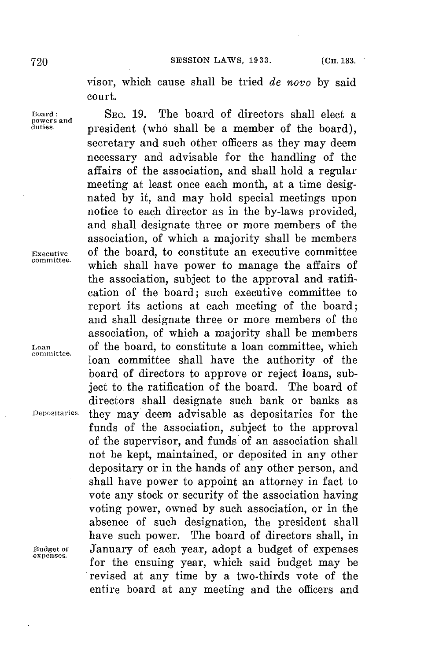visor, which cause shall be tried *de novo* **by** said court.

**Board: SEC. 19.** The board of directors shall elect a president (who shall be a member of the board), secretary and such other officers as they may deem necessary and advisable for the handling of the affairs of the association, and shall hold a regular meeting at least once each month, at a time designated **by** it, and may hold special meetings upon notice to each director as in the by-laws provided, and shall designate three or more members of the association, **of** which a majority shall be members **Executive** of the board, to constitute an executive committee which shall have power to manage the affairs of the association, subject to the approval and ratification of the board; such executive committee to report its actions at each meeting of the board; and shall designate three or more members of the association, of which a majority shall be members Loan of the board, to constitute a loan committee, which **comitee.** loan committee shall have the authority of the board of directors to approve or reject loans, subject to. the ratification of the board. The board of directors shall designate such bank or banks as **Dei.ositaries.** they may deem advisable as depositaries for the funds of the association, subject to the approval of the supervisor, and funds of an association shall not be kept, maintained, or deposited in any other depositary or in the hands of any other person, and shall have power to appoint an attorney in fact to vote any stock or. security of the association having voting power, owned **by** such association, or in the absence of such designation, the president shall have such power. The board of directors shall, in **Budget of** January of each year, adopt a budget of expenses for the ensuing year, which said budget may be revised at any time **by** a two-thirds vote of the entire board at any meeting and the officers and

**powers and**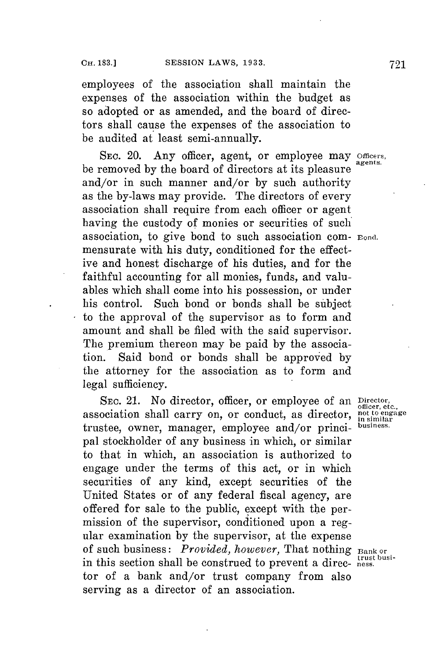employees of the association shall maintain the expenses of the association within the budget as so adopted or as amended, and the board of directors shall cause the expenses of the association to be audited at least semi-annually.

**SEc.** 20. Any officer, agent, or employee may **Officers, agents.** be removed **by** the board of directors at its pleasure and/or in such manner and/or **by** such authority as the by-laws may provide. The directors of every association shall require from each officer or agent having the custody of monies or securities of such association, to give bond to such association com- Bond. mensurate with his duty, conditioned for the effective and honest discharge of his duties, and for the faithful accounting for all monies, funds, and valuables which shall come into his possession, or under his control. Such bond or bonds shall be subject to the approval of the supervisor as to form and amount and shall be filed with the said supervisor. The premium thereon may be paid **by** the association. Said bond or bonds shall be approved **by** the attorney for the association as to form and legal sufficiency.

SEC. 21. No director, officer, or employee of an Director, etc., **otlicer, etc.,** association shall carry on, or conduct, as director, **not to engage in sinmilar** trustee, owner, manager, employee and/or princi- **business.** pal stockholder of any business in which, or similar to that in which, an association is authorized to engage under the terms of this act, or in which securities of any kind, except securities of the United States or of any federal fiscal agency, are offered for sale to the public, except with the permission of the supervisor, conditioned upon a regular examination by the supervisor, at the expense<br>of such business: *Provided, however*, That nothing Bank or in this section shall be construed to prevent a direc- ness. tor of a bank and/or trust company from also serving as a director of an association.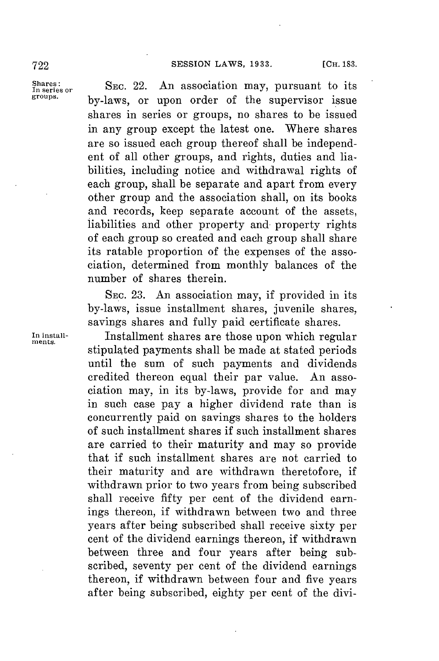Shares:<br>In series or **SEC. 22.** An association may, pursuant to its<br>groups. by-laws, or upon order of the supervisor issue shares in series or groups, no shares to be issued in any group except the latest one. Where shares are so issued each group thereof shall be independent of all other groups, and rights, duties and liabilities, including notice and withdrawal rights of each group, shall be separate and apart from every other group and the association shall, on its books and records, keep separate account of the assets, liabilities and other property and property rights of each group so created and each group shall share its ratable proportion of the expenses of the association, determined from monthly balances of the number of shares therein.

> SEc. **23.** An association may, if provided in its by-laws, issue installment shares, juvenile shares, savings shares and fully paid certificate shares.

In install- Installment shares are those upon which regular stipulated payments shall be made at stated periods until the sum of such payments and dividends credited thereon equal their par value. An association may, in its by-laws, provide for and may in such case pay a higher dividend rate than is concurrently paid on savings shares to the holders of such installment shares if such installment shares are carried to their maturity and may so provide that if such installment shares are not carried to their maturity and are withdrawn theretofore, if withdrawn prior to two years from being subscribed shall receive fifty per cent of the dividend earnings thereon, if withdrawn between two and three years after being subscribed shall receive sixty per cent of the dividend earnings thereon, if withdrawn between three and four years after being subscribed, seventy per cent of the dividend earnings thereon, if withdrawn between four and five years after being subscribed, eighty per cent of the divi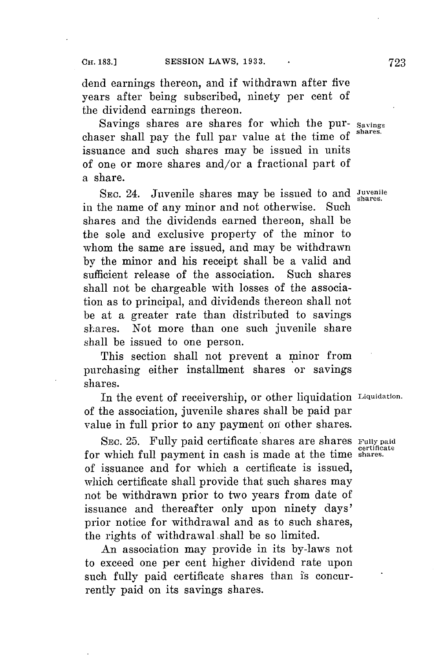dend earnings thereon, and if withdrawn after five years after being subscribed, ninety per cent of the dividend earnings thereon.

Savings shares are shares for which the pur- **Savings** chaser shall pay the full par value at the time of issuance and such shares may be issued in units of one or more shares and/or a fractional part of a share.

SEC. 24. Juvenile shares may be issued to and *Juvenile* in the name of any minor and not otherwise. Such shares and the dividends earned thereon, shall be the sole and exclusive property of the minor to whom the same are issued, and may be withdrawn **by** the minor and his receipt shall be a valid and sufficient release of the association. Such shares shall not be chargeable with losses of the association as to principal, and dividends thereon shall not be at a greater rate than distributed to savings shares. Not more than one such juvenile share shall be issued to one person.

This section shall not prevent a minor from purchasing either installment shares or savings shares.

In the event of receivership, or other liquidation **Liquidation.** of the association, juvenile shares shall be paid par value in full prior to any payment on other shares.

**SEC. 25.** Fully paid certificate shares are shares **Fully paid certificate** for which full payment in cash is made at the time **shares.** of issuance and for which a certificate is issued, which certificate shall provide that such shares may not be withdrawn prior to two years from date of issuance and thereafter only upon ninety days' prior notice for withdrawal and as to such shares, the rights of withdrawal. shall be so limited.

An association may provide in its by-laws not to exceed one per cent higher dividend rate upon such fully paid certificate shares than is concurrently paid on its savings shares.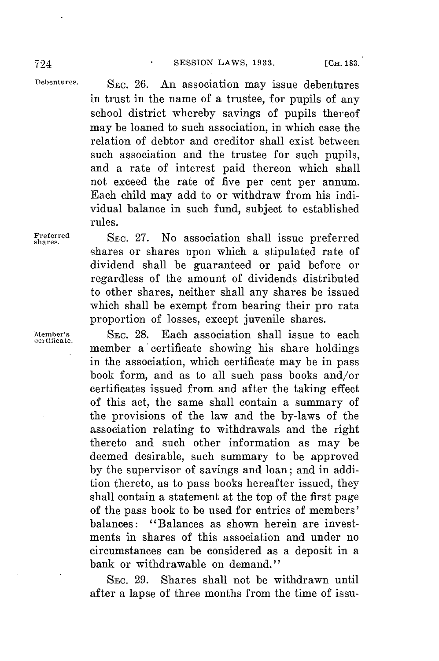**Debentures. SEC. 26.** An association may issue debentures in trust in the name of a trustee, **for** pupils of any school district whereby savings of pupils thereof may be loaned to such association, in which case the relation of debtor and creditor shall exist between such association and the trustee for such pupils, and a rate of interest paid thereon which shall not exceed the rate of five per cent per annum. Each child may add to or withdraw from his individual balance in such fund, subject to established rules.

**Freferred** SEC. 27. No association shall issue preferred shares or shares upon which a stipulated rate of dividend shall be guaranteed or paid before or regardless of the amount of dividends distributed to other shares, neither shall any shares be issued which shall be exempt from bearing their pro rata proportion of losses, except juvenile shares.

**Member's** SEc. **28.** Each association shall issue to each **certificate.** member a certificate showing his share holdings in the association, which certificate may be in pass book form, and as to all such pass books and/or certificates issued from and after the taking effect of this act, the same shall contain a summary of the provisions of the law and the by-laws of the association relating to withdrawals and the right thereto and such other information as may be deemed desirable, such summary to be approved **by** the supervisor of savings and loan; and in addition thereto, as to pass books hereafter issued, they shall contain a statement at the top of the first page of the pass book to be used for entries of members' balances: "Balances as shown herein are investments in shares of this association and under no circumstances can be considered as a deposit in a bank or withdrawable on demand."

> **SEC. 29.** Shares shall not be withdrawn until after a lapse of three months from the time of issu-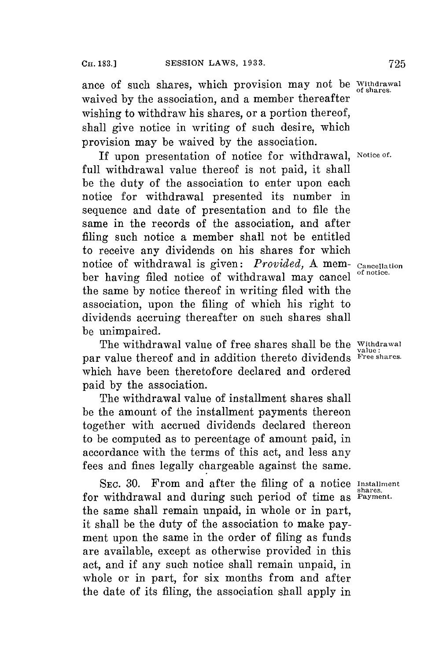ance of such shares, which provision may not be **Withdrawal** waived **by** the association, and a member thereafter wishing to withdraw his shares, or a portion thereof, shall give notice in writing of such desire, which provision may be waived **by** the association.

If upon presentation of notice for withdrawal, **Notice of.** full withdrawal value thereof is not paid, it shall be the duty of the association to enter upon each notice for withdrawal presented its number in sequence and date of presentation and to file the same in the records of the association, and after filing such notice a member shall not be entitled to receive any dividends on his shares for which notice of withdrawal is given: *Provided*, A mem- Cancellation ber having filed notice of withdrawal may cancel **of notice.** the same **by** notice thereof in writing filed with the association, upon the filing of which his right to dividends accruing thereafter on such shares shall be unimpaired.

The withdrawal value of free shares shall be the **Withdrawal** par value thereof and in addition thereto dividends **Free shares** which have been theretofore declared and ordered paid **by** the association.

The withdrawal value of installment shares shall be the amount of the installment payments thereon together with accrued dividends declared thereon to be computed as to percentage of amount paid, in accordance with the terms of this act, and less any fees and fines legally chargeable against the same.

*SEC.* **30.** From and after the filing of a notice **Installment** for withdrawal and during such period of time as **Payment.** the same shall remain unpaid, in whole or in part, it shall be the duty of the association to make payment upon the same in the order of filing as funds are available, except as otherwise provided in this act, and if any such notice shall remain unpaid, in whole or in part, **for** six months from and after the date of its filing, the association shall apply in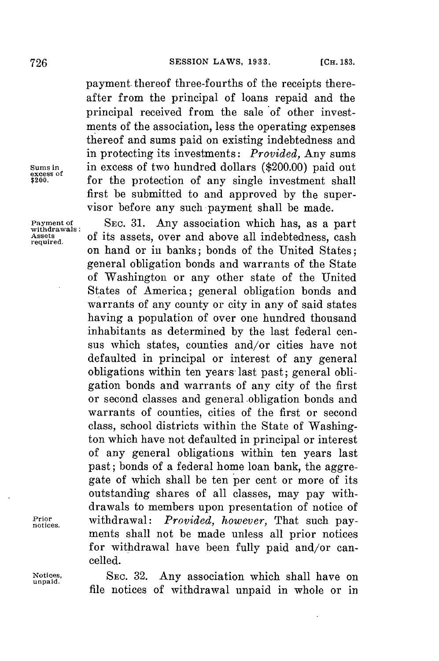payment. thereof three-fourths of the receipts thereafter from the principal of loans repaid and the principal received from the sale of other investments of the association, less the operating expenses thereof and sums paid on existing indebtedness and in protecting its investments: *Provided,* Any sums **Sums in** in excess of two hundred dollars (\$200.00) paid out **excess** of the protection of any single investment shall for the protection of any single investment shall first be submitted to and approved **by** the supervisor before any such payment shall be made.

**Payment of SEC. 31.** Any association which has, as a part withdrawals: of its assets over and above all indebtedness cash Assets of its assets, over and above all indebtedness, cash on hand or in banks; bonds of the United States; general obligation bonds and warrants of the State of Washington or any other state of the United States of America; general obligation bonds and warrants of any county or city in any of said states having a population of over one hundred thousand inhabitants as determined **by** the last federal census which states, counties and/or cities have not defaulted in principal or interest of any general obligations within ten years last past; general obligation bonds and warrants of any city of the first or second classes and general obligation bonds and warrants of counties, cities of the first or second class, school districts within the State of Washington which have not defaulted in principal or interest of any general obligations within ten years last past; bonds of a federal home loan bank, the aggregate of which shall be ten per cent or more of its outstanding shares of all classes, may pay withdrawals to members upon presentation of notice of **Prir** withdrawal: *Provided, however,* That such pay- **notices.** ments shall not be made unless all prior notices **for** withdrawal have been fully paid and/or cancelled.

**Notices, SEc. 32.** Any association which shall have on **unpaid.** file notices of withdrawal unpaid in whole or in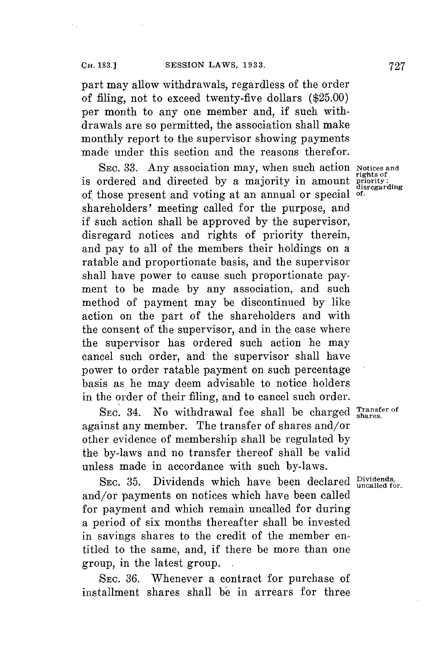part may allow withdrawals, regardless of the order of filing, not to exceed twenty-five dollars **(\$25.00)** per month to any one member and, if such withdrawals are so permitted, the association shall make monthly report to the supervisor showing payments made under this section and the reasons therefor.

**SEC. 33.** Any association may, when such action Notices and rights of **rights of** is ordered and directed **by** a majority in amount **priority: disregarding** of those present and voting at an annual or special **of.** shareholders' meeting called for the purpose, and if such action shall be approved **by** the supervisor, disregard notices and rights of priority therein, and pay to all of the members their holdings on a ratable and proportionate basis, and the supervisor shall have power to cause such proportionate payment to be made **by** any association, and such method of payment may be discontinued **by** like action on the part of the shareholders and with the consent of the supervisor, and in the case where the supervisor has ordered such action he may cancel such order, and the supervisor shall have power to order ratable payment on such percentage basis as he may deem advisable to notice holders in the order of their filing, and to cancel such order.

SEC. 34. No withdrawal fee shall be charged **Shares** of against any member. The transfer of shares and/or other evidence of membership shall be regulated **by** the by-laws and no transfer thereof shall be valid unless made in accordance with such by-laws.

SEC. 35. Dividends which have been declared **Dividends**, and/or payments on notices which have been called for payment and which remain uncalled for during a period of six months thereafter shall be invested in savings shares to the credit of the member entitled to the same, and, if there be more than one group, in the latest group. **.**

**SEc. 36.** Whenever a contract for purchase of installment shares shall be in arrears for three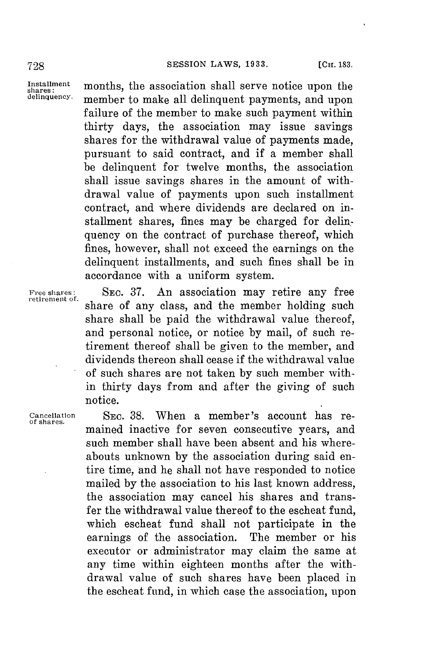Installment months, the association shall serve notice upon the delinquency. momber to make all delinquant parments, and upon member to make all delinquent payments, and upon failure of the member to make such payment within thirty days, the association may issue savings shares for the withdrawal value of payments made, pursuant to said contract, and if a member shall be delinquent for twelve months, the association shall issue savings shares in the amount of withdrawal value of payments upon such installment contract, and where dividends are declared on installment shares, fines may be charged for delinquency on the contract of purchase thereof, which fines, however, shall not exceed the earnings on the delinquent installments, and such fines shall be in accordance with a uniform system.

Free shares: SEC. 37. An association may retire any free share of any class, and the member holding such share shall be paid the withdrawal value thereof, and personal notice, or notice **by** mail, of such retirement thereof shall be given to the member, and dividends thereon shall cease if the withdrawal value of such shares are not taken **by** such member within thirty days from and after the giving of such notice.

**Cancellation SEC. 38.** When a member's account has re- **of shares.** mained inactive for seven consecutive years, and such member shall have been absent and his whereabouts unknown **by** the association during said entire time, and he shall not have responded to notice mailed **by** the association to his last known address, the association may cancel his shares and transfer the withdrawal value thereof to the escheat fund, which escheat fund shall not participate in the earnings of the association. The member or his executor or administrator may claim the same at any time within eighteen months after the withdrawal value of such shares have been placed in the escheat fund, in which case the association, **upon**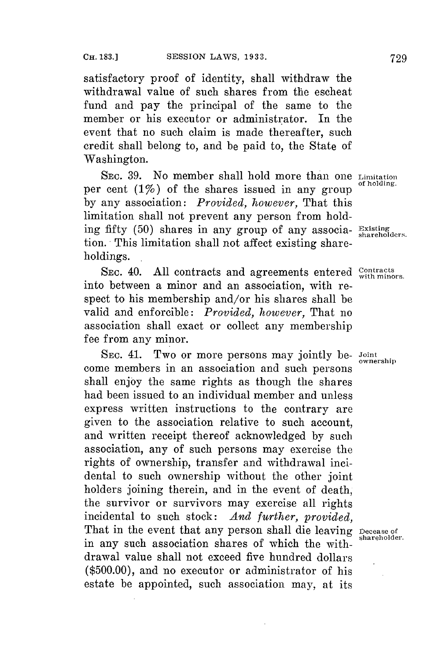satisfactory proof of identity, shall withdraw the withdrawal value of such shares from the escheat fund and pay the principal of the same to the member or his executor or administrator. In the event that no such claim is made thereafter, such credit shall belong to, and be paid to, the State of Washington.

SEC. 39. No member shall hold more than one Limitation per cent  $(1\%)$  of the shares issued in any group **by** any association: *Provided, however,* That this limitation shall not prevent any person from holding fifty (50) shares in any group of any associa- Existing tion. This limitation shall not affect existing shareholdings. **.**

SEC. 40. All contracts and agreements entered Contracts into between a minor and an association, with respect to his membership and/or his shares shall be valid and enforcible: *Provided, however,* That no association shall exact or collect any membership fee from any minor.

SEC. 41. Two or more persons may jointly be- Joint come members in an association and such persons shall enjoy the same rights as though the shares had been issued to an individual member and unless express written instructions to the contrary are given to the association relative to such account, and written receipt thereof acknowledged **by** such association, any of such persons may exercise the rights of ownership, transfer and withdrawal incidental to such ownership without the other joint holders joining therein, and in the event of death, the survivor or survivors may exercise all rights incidental to such stock: *And further, provided,* That in the event that any person shall die leaving Decease of shareholder. in any such association shares of which the withdrawal value shall not exceed five hundred dollars **(\$500.00),** and no executor or administrator of his estate be appointed, such association may, at its

ownership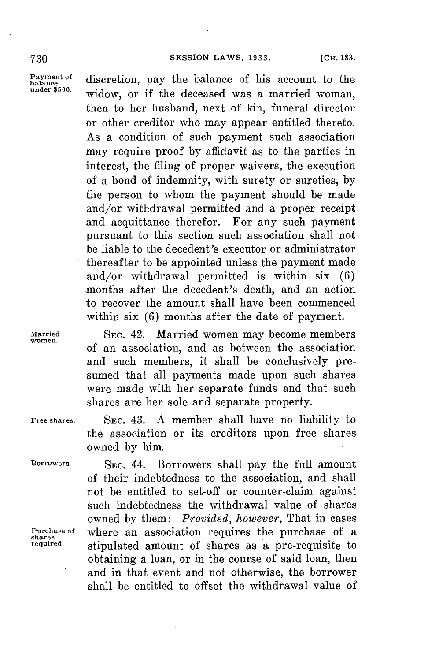Payment of discretion, pay the balance of his account to the under  $\frac{1}{2}$  of the discrepance of measure in the under  $\frac{1}{2}$ widow, or if the deceased was a married woman, then to her husband, next of kin, funeral director or other creditor who may appear entitled thereto. As a condition of such payment such association may require proof **by** affidavit as to the parties in interest, the filing of proper waivers, the execution of a bond of indemnity, with surety or sureties, **by** the person to whom the payment should be made and/or withdrawal permitted and a proper receipt and acquittance therefor. For any such payment pursuant to this section such association shall not be liable to the decedent's executor or administrator thereafter to be appointed unless the payment made and/or withdrawal permitted is within six **(6)** -months after the decedent's death, and an action to recover the amount shall have been commenced within six (6) months after the date of payment.

**Married** SEC. 42. Married women may become members **women.** of an association, and as between the association and such members, it shall be conclusively presumed that all payments made upon such shares were made with her separate funds and that such shares are her sole and separate property.

**Free shares.** SEC. 43. **A** member shall have no liability to the association or its creditors upon free shares owned **by** him.

Borrowers. **SEC. 44. Borrowers shall pay the full amount** of their indebtedness to the association, and shall not be entitled to set-off or counter-claim against such indebtedness the withdrawal value of shares owned **by** them: *Provided, however,* That in cases Purchase of where an association requires the purchase of a shares<br>required stipulated amount of shares as a pro-requisite to stipulated amount of shares as a pre-requisite to obtaining a loan, or in the course of said loan, then and in that event and not otherwise, the borrower shall be entitled to offset the withdrawal value of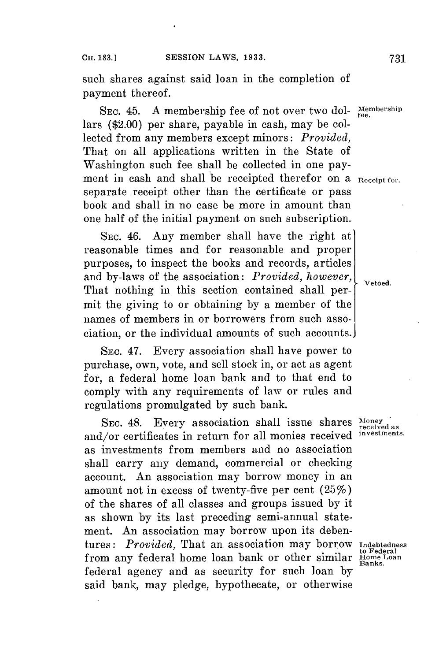such shares against said loan in the completion of payment thereof.

SEC. 45. A membership fee of not over two dol- Membership lars (\$2.00) per share, payable in cash, may be collected from any members except minors: *Provided,* That on all applications written in the State of Washington such fee shall be collected in one payment in cash and shall be receipted therefor on a **Receipt for**. separate receipt other than the certificate or pass book and shall in no case be more in amount than one half of the initial payment on such subscription.

SEC. 46. Any member shall have the right at reasonable times and for reasonable and proper purposes, to inspect the books and records, articles and by-laws of the association: *Provided, however*,  $\left\{\begin{array}{c} \text{vetoed.} \end{array}\right\}$ That nothing in this section contained shall permit the giving to or obtaining **by** a member of the names of members in or borrowers from such association, or the individual amounts of such accounts.

SEC. 47. Every association shall have power to purchase, own, vote, and sell stock in, or act as agent for, a federal home loan bank and to that end to comply with any requirements of law or rules and regulations promulgated **by** such bank.

SEC. 48. Every association shall issue shares Money received as and/or certificates in return for all monies received **investments.** as investments from members and no association shall carry any demand, commercial or checking account. An association may borrow money in an amount not in excess of twenty-five per cent (25%) of the shares of all classes and groups issued **by** it as shown **by** its last preceding semi-annual statement. An association may borrow upon its debentures: *Provided,* That an association may borrow **Indebtedness** from any federal home loan bank or other similar **Home Loan**<br>from any federal home loan bank or other similar **Home Loan** federal agency and as security for such loan **by** said bank, may pledge, hypothecate, or otherwise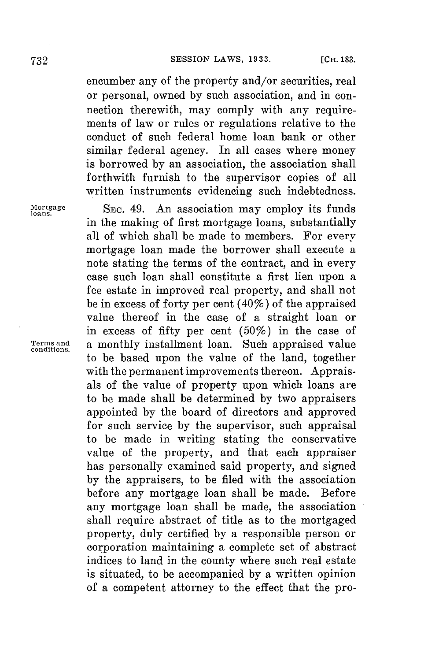encumber any of the property and/or securities, real or personal, owned **by** such association, and in connection therewith, may comply with any requirements of law or rules or regulations relative to the conduct of such federal home loan bank or other similar federal agency. In all cases where money is borrowed **by** an association, the association shall forthwith furnish to the supervisor copies of all written instruments evidencing such indebtedness.

**logage SEC.** 49. An association may employ its funds in the making of first mortgage loans, substantially all of which shall be made to members. For every mortgage loan made the borrower shall execute a note stating the terms of the contract, and in every case such loan shall constitute a first lien upon a fee estate in improved real property, and shall not be in excess of forty per cent (40%) of the appraised value thereof in the case of a straight loan or in excess of fifty per cent (50%) in the case of **Terms and a monthly installment loan.** Such appraised value to be based upon the value of the land, together with the permanent improvements thereon. Appraisals of the value of property upon which loans are to be made shall be determined **by** two appraisers appointed **by** the board of directors and approved for such service **by** the supervisor, such appraisal to be made in writing stating the conservative value of the property, and that each appraiser has personally examined said property, and signed **by** the appraisers, to be filed with the association before any mortgage loan shall be made. Before any mortgage loan shall be made, the association shall require abstract of title as to the mortgaged property, duly certified **by** a responsible person or corporation maintaining a complete set of abstract indices to land in the county where such real estate is situated, to be accompanied **by** a written opinion of a competent attorney to the effect that the pro-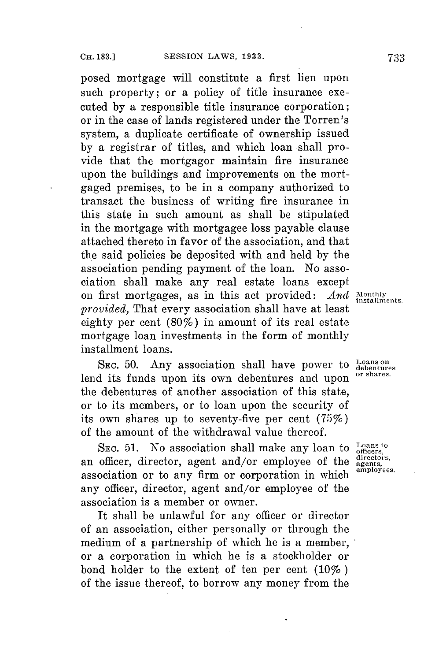posed mortgage will constitute a first lien upon such property; or a policy of title insurance executed **by** a responsible title insurance corporation; or in the case of lands registered under the Torren's system, a duplicate certificate of ownership issued **by** a registrar of titles, and which loan shall provide that the mortgagor maintain fire insurance upon the buildings and improvements on the mortgaged premises, to be in a company authorized to transact the business of writing fire insurance in this state in such amount as shall be stipulated in the mortgage with mortgagee loss payable clause attached thereto in favor of the association, and that the said policies be deposited with and held **by** the association pending payment of the loan. No association shall make any real estate loans except<br>on first mortgages, as in this act provided:  $And$  installments. on first mortgages, as in this act provided: *provided,* That every association shall have at least eighty per cent (80%) in amount of its real estate mortgage loan investments in the form of monthly installment loans.

SEC. 50. Any association shall have power to Leans on a straight of the straight of the straight of the straight of shares. lend its funds upon its own debentures and upon the debentures of another association of this state, or to its members, or to loan upon the security of its own shares up to seventy-five per cent (75%) of the amount of the withdrawal value thereof.

SEC. 51. No association shall make any loan to  $\frac{\text{Loans to}}{\text{officers}}$ , an officer, director, agent and/or employee of the  $\frac{\text{direction}}{\text{agents}}$ . association or to any firm or corporation in which  $\frac{\text{emologies}}{\text{emologies}}$ . any officer, director, agent and/or employee of the association is a member or owner.

It shall be unlawful for any officer or director of an association, either personally or through the medium of a partnership of which he is a member, or a corporation in which he is a stockholder or bond holder to the extent of ten per cent (10% **)** of the issue thereof, to borrow any money from the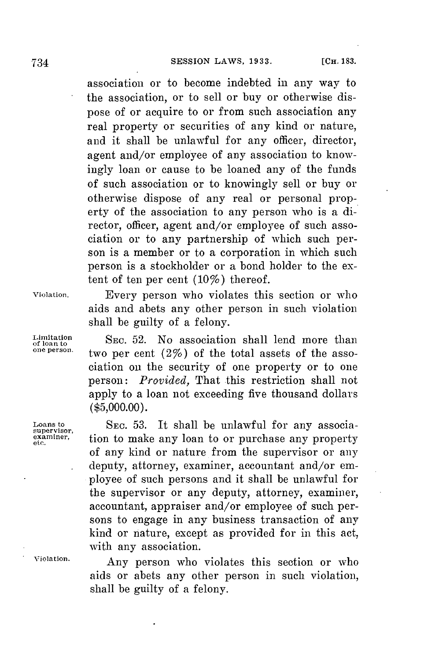association or to become indebted in any way to the association, or to sell or buy or otherwise dispose of or acquire to or from such association any real property or securities of any kind or nature, and it shall be unlawful for any officer, director, agent and/or employee of any association to knowingly loan or cause to be loaned any of the funds of such association or to knowingly sell or buy or otherwise dispose of any real or personal property of the association to any person who is a director, officer, agent and/or employee of such association or to any partnership of which such person is a member or to a corporation in which such person is a stockholder or a bond holder to the extent of ten per cent  $(10\%)$  thereof.

**violation.** Every person who violates this section or who

**Limitation**

 $\frac{\text{Limitation}}{\text{of loan to}}$  SEC. 52. No association shall lend more than two per cent (2%) of the total assets of the association on the security of one property or to one person: *Provided,* That this restriction shall not apply to a loan not exceeding five thousand dollars **(\$5,000.00).**

aids and abets any other person in such violation

shall be guilty of a felony.

**Loans to SEC. 53.** It shall be unlawful for any associa- **supervisor, eminer,** tion to make any loan to or purchase any property of any kind or nature from the supervisor or any . deputy, attorney, examiner, accountant and/or employee of such persons and it shall be unlawful for the supervisor or any deputy, attorney, examiner, accountant, appraiser and/or employee of such persons to engage in any business transaction of any kind or nature, except as provided for in this act, with any association.

**Violation.** Any person who violates this section or who aids or abets any other person in such violation, shall be guilty of a felony.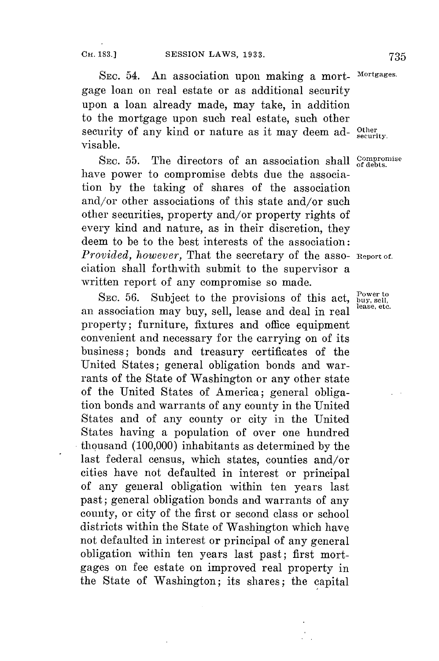SEc. 54. An association upon making a mort- **Mortgages.** gage loan on real estate or as additional security upon a loan already made, may take, in addition to the mortgage upon such real estate, such other security of any kind or nature as it may deem ad-  $_{\text{security}}^{\text{Other}}$ visable.

SEC. 55. The directors of an association shall Compromise have power to compromise debts due the association **by** the taking of shares of the association and/or other associations of this state and/or such other securities, property and/or property rights of every kind and nature, as in their discretion, they deem to be to the best interests of the association: *Provided, however,* That the secretary of the asso- **Report of.** ciation shall forthwith submit to the supervisor a written report of any compromise so made.

SEC. 56. Subject to the provisions of this act, <sup>Power to</sup> an association may buy, sell, lease and deal in real property; furniture, fixtures and office equipment convenient and necessary for the carrying on of its business; bonds and treasury certificates of the United States; general obligation bonds and warrants of the State of Washington or any other state of the United States of America; general obligation bonds and warrants of any county in the United States and of any county or city in the United States having a population of over one hundred thousand **(100,000)** inhabitants as determined **by** the last federal census, which states, counties and/or cities have not defaulted in interest or principal of any general obligation within ten years last past; general obligation bonds and warrants of any county, or city of the first or second class or school districts within the State of Washington which have not defaulted in interest or principal of any general obligation within ten years last past; first mortgages on fee estate on improved real property in the State of Washington; its shares; the capital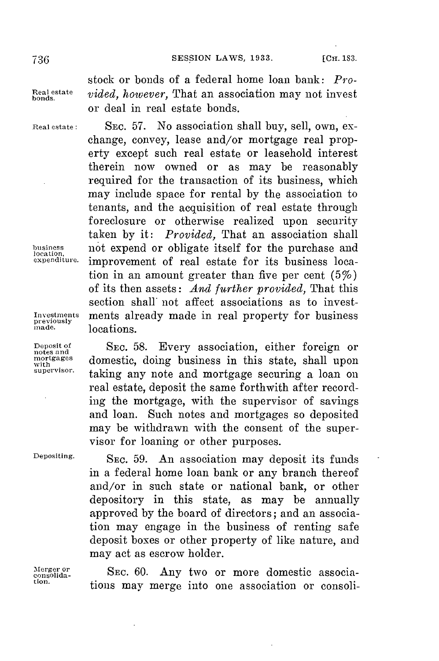stock or bonds of a federal home loan bank: *Pro***eestate** *vided, however,* That an association may not invest or deal in real estate bonds.

Real estate: **SEC. 57.** No association shall buy, sell, own, exchange, convey, lease and/or mortgage real property except such real estate or leasehold interest therein now owned or as may be reasonably required for the transaction of its business, which may include space for rental **by** the association to tenants, and the acquisition of real estate through foreclosure or otherwise realized upon security taken **by** it: *Provided,* That an association shall business not expend or obligate itself for the purchase and expenditure. improvement of real estate for its business location in an amount greater than five per cent *(5%)* of its then assets: *And further provided,* That this section shall' not affect associations as to invest-Investments **ments already made in real property for business** previously **previously** locations.

Deposit of **SEC. 58.** Every association, either foreign or **notes and** mortgages domestic, doing business in this state, shall upon taking any note and mortgage securing a loan on real estate, deposit the same forthwith after recording the mortgage, with the supervisor of savings and loan. Such notes and mortgages so deposited may be withdrawn with the consent of the supervisor for loaning or other purposes.

 $\ddot{\phantom{a}}$ 

**Depositing. SEC. 59.** An association may deposit its funds in a federal home loan bank or any branch thereof and/or in such state or national bank, or other depository in this state, as may be annually approved **by** the board of directors; and an association may engage in the business of renting safe deposit boxes or other property of like nature, and may act as escrow holder.

Merger or SEC. 60. Any two or more domestic associa-<br>
eonsolida- SEC. 60. Any two or more domestic associa-<sub>consolida</sub>. SEC. 00. Any two or more domestic associa-<br>tion. tions may merge into one association or consoli-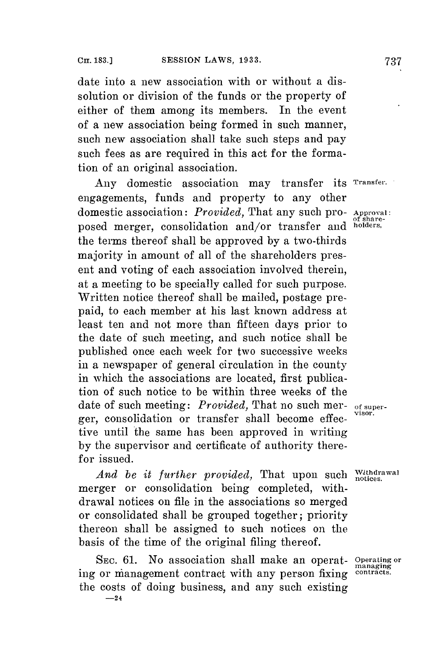date into a new association with or without a dissolution or division of the funds or the property of either of them among its members. In the event of a new association being formed in such manner, such new association shall take such steps and pay such fees as are required in this act **for** the formation of an original association.

Any domestic association may transfer its **Transfer.** engagements, funds and property to any other domestic association: *Provided,* That any such pro- **Approval:** posed merger, consolidation and/or transfer and **holders,** the terms thereof shall be approved **by** a two-thirds majority in amount of all of the shareholders present and voting of each association involved therein, at a meeting to **be** specially called for such purpose. Written notice thereof shall be mailed, postage prepaid, to each member at his last known address at least ten and not more than fifteen days prior to the date of such meeting, and such notice shall be published once each week for two successive weeks in a newspaper of general circulation in the county in which the associations are located, first publication of such notice to be within three weeks of the date of such meeting: *Provided,* That no such mer- **of super**ger, consolidation or transfer shall become effective until the same has been approved in writing **by** the supervisor and certificate of authority therefor issued.

*And be it further provided,* That upon such *Withdrawal* merger or consolidation being completed, withdrawal notices on file in the associations so merged or consolidated shall be grouped together; priority thereon shall **be** assigned to such notices on the basis of the time of the original filing thereof.

**SEC. 61.** No association shall make an operat- **Operating or managing** ing or management contract with any person fixing the costs of doing business, and any such existing **-24**

**of share-**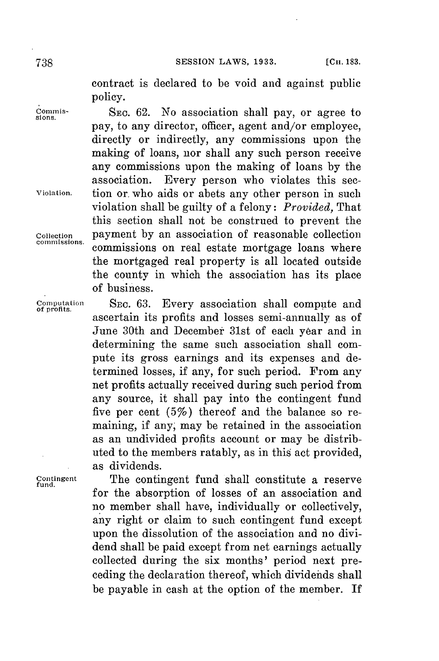contract is declared to be void and against public policy.

**Comis- SEc. 62.** No association shall pay, or agree to **sions.** pay, to any director, officer, agent and/or employee, directly or indirectly, any commissions upon the making of loans, nor shall any such person receive any commissions upon the making of loans **by** the association. Every person who violates this sec-**Violation.** tion or. who aids or abets any other person in such violation shall be guilty of a felony: *Provided,* That this section shall not be construed to prevent the **Collection** payment **by** an association of reasonable collection commissions on real estate mortgage loans where the mortgaged real property is all located outside the county in which the association has its place of business.

**Computation** SEc. **63.** Every association shall compute and **of profits.** ascertain its profits and losses semi-annually as of June 30th and December 31st of each year and in determining the same such association shall compute its gross earnings and its expenses and determined losses, if any, for such period. From any net profits actually received during such period from any source, it shall pay into the contingent fund five per cent  $(5\%)$  thereof and the balance so remaining, if any, may be retained in the association as an undivided profits account or may be distributed to the members ratably, as in this act provided, as dividends.

Contingent **The contingent fund shall constitute a reserve** for the absorption of losses of an association and no member shall have, individually or collectively, any right or claim to such contingent fund except upon the dissolution of the association and no dividend shall be paid except from net earnings actually collected during the six months' period next preceding the declaration thereof, which dividends shall be payable in cash at the option of the member. If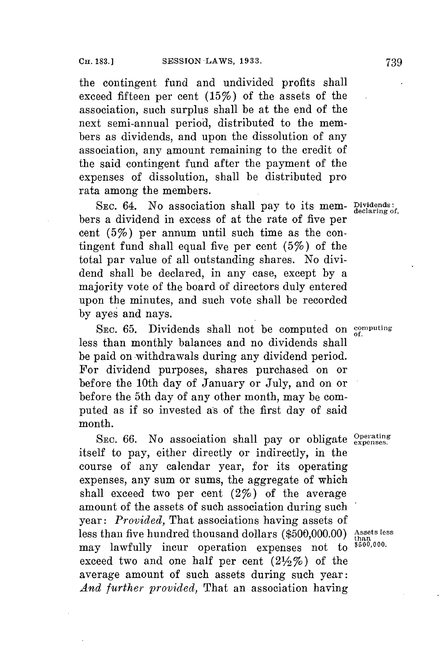the contingent fund and undivided profits shall exceed fifteen per cent (15%) of the assets of the association, such surplus shall be at the end of the next semi-annual period, distributed to the members as dividends, and upon the dissolution of any association, any amount remaining to the credit of the said contingent fund after the payment of the expenses of dissolution, shall be distributed pro rata among the members.

SEC. 64. No association shall pay to its mem- Dividends: bers a dividend in excess of at the rate of five per cent (5%) per annum until such time as the contingent fund shall equal five per cent (5%) of the total par value of all outstanding shares. No dividend shall be declared, in any case, except **by** a majority vote of the board of directors duly entered upon the minutes, and such vote shall be recorded **by** ayes and nays.

SEC. 65. Dividends shall not be computed on computing less than monthly balances and no dividends shall be paid on withdrawals during any dividend period. For dividend purposes, shares purchased on or before the 10th day of January or July, and on or before the 5th day of any other month, may be computed as if so invested as of the first day of said month.

SEC. 66. No association shall pay or obligate *Operating* itself to pay, either directly or indirectly, in the course of any calendar year, for its operating expenses, any sum or sums, the aggregate of which shall exceed two per cent  $(2\%)$  of the average amount of the assets of such association during such year: *Provided,* That associations having assets of less than five hundred thousand dollars (\$500,000.00) **Assets less**<br>may lawfully inqur operation expanses, not to  $\frac{\text{tan } \theta}{\text{tan } 0.000}$ . may lawfully incur operation expenses not to exceed two and one half per cent  $(2\frac{1}{2}\%)$  of the average amount of such assets during such year: *And further provided,* That an association having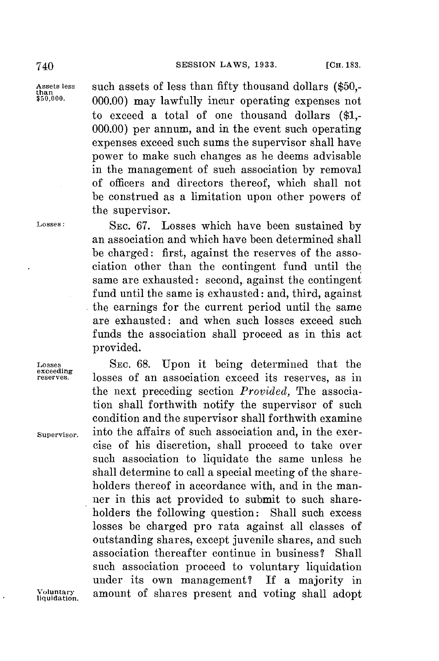**Assets less** such assets of less than *fifty* thousand dollars **(\$50,- than \$50,000. 000.00)** may lawfully incur operating expenses not to exceed a total of one thousand dollars **(\$1,- 000.00)** per annum, and in the event such operating expenses exceed such sums the supervisor shall have power to make such changes as he deems advisable in the management of such association **by** removal of officers and directors thereof, which shall not be construed as a limitation upon other powers of the supervisor.

**Losses: SEC. 67.** Losses which have been sustained **by** an association and which have been determined shall be charged: first, against the reserves of the association other than the contingent fund until the same are exhausted: second, against the contingent fund until the same is exhausted: and, third, against the earnings for the current period until the same are exhausted: and when such losses exceed such funds the association shall proceed as in this act provided.

**Losses SEC. 68.** Upon it being determined that the losses of an association exceed its reserves, as in the next preceding section *Provided,* The association shall forthwith notify the supervisor of such condition and the supervisor shall forthwith examine **Supervisor.** into the affairs of such association and, in the exercise of his discretion, shall proceed to take over such association to liquidate the same unless he shall determine to call a special meeting of the shareholders thereof in accordance with, and in the manner in this act provided to submit to such shareholders the following question: Shall such excess losses be charged pro rata against all classes of outstanding shares, except juvenile shares, and such association thereafter continue in business? Shall such association proceed to voluntary liquidation under its own management? If a majority in **Voluntary** amount of shares present and voting shall adopt **liquidation.**

Losses<br>exceeding<br>reserves.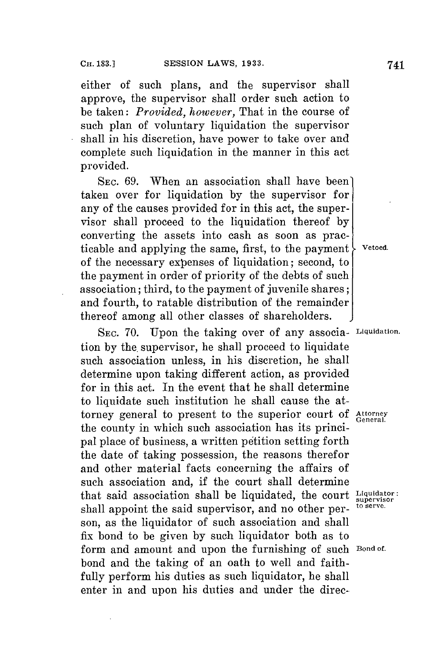either of such plans, and the supervisor shall approve, the supervisor shall order such action to be taken: *Provided, however,* That in the course of such plan of voluntary liquidation the supervisor shall in his discretion, have power to take over and complete such liquidation in the manner in this act provided.

**SEc. 69.** When an association shall have been' taken over for liquidation **by** the supervisor for any of the causes provided **for** in this act, the supervisor shall proceed to the liquidation thereof **by** converting the assets into cash as soon as practicable and applying the same, first, to the payment  $\mathcal{L}$  vetoed. of the necessary expenses of liquidation; second, to the payment in order of priority of the debts of such association; third, to the payment of juvenile shares; and fourth, to ratable distribution of the remainder thereof among all other classes of shareholders.

SEc. **70.** Upon the taking over of any associa- **Liquidation.** tion by the supervisor, he shall proceed to liquidate such association unless, in his discretion, he shall determine upon taking different action, as provided **for** in this act. In the event that he shall determine to liquidate such institution he shall cause the attorney general to present to the superior court of Attorney the county in which such association has its principal place of business, a written petition setting forth the date of taking possession, the reasons therefor and other material facts concerning the affairs of such association and, if the court shall determine that said association shall be liquidated, the court **Liquidator:** shall appoint the said supervisor, and no other person, as the liquidator of such association and shall fix bond to be given **by** such liquidator both as to form and amount and upon the furnishing of such **Bond of.** bond and the taking of an oath to well and faithfully perform his duties as such liquidator, he shall enter in and upon his duties and under the direc-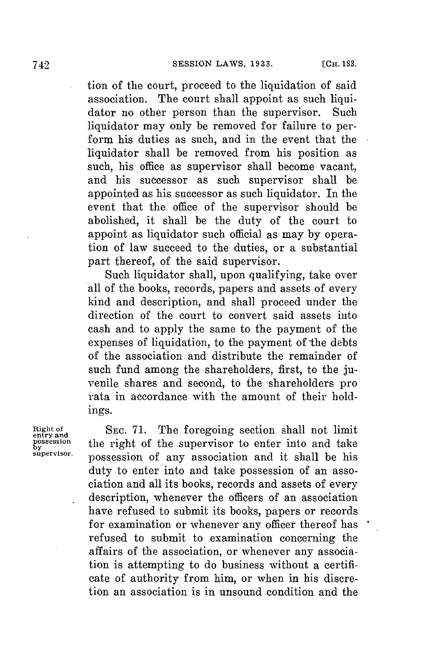tion of the court, proceed to the liquidation of said association. The court shall appoint as such liquidator no other person than the supervisor. Such liquidator may only be removed for failure to perform his duties as such, and in the event that the liquidator shall **be** removed from his position as such, his office as supervisor shall become vacant, and his successor as such supervisor shall be appointed as his successor as such liquidator. In the event that the office of the supervisor should be abolished, it shall be the duty of the court to appoint as liquidator such official as may **by** operation of law succeed to the duties, or a substantial part thereof, of the said supervisor.

Such liquidator shall, upon qualifying, take over all of the books, records, papers and assets of every kind and description, and shall proceed under the direction of the court to convert said assets into cash and to apply the same to the payment of the expenses of liquidation, to the payment of the debts of the association and distribute the remainder of such fund among the shareholders, first, to the juvenile shares and second, to the shareholders pro rata in accordance with the amount of their holdings.

**Right of SEC. 71.** The foregoing section shall not limit **entry and** possession the right of the supervisor to enter into and take possession of any association and it shall be his duty to enter into and take possession of an association and all its books, records and assets of every description, whenever the officers of an association have refused to submit its books, papers or records for examination or whenever any officer thereof has refused to submit to examination concerning the affairs of the association, or whenever any association is attempting to do business without a certificate of authority from him, or when in his discretion an association is in unsound condition and the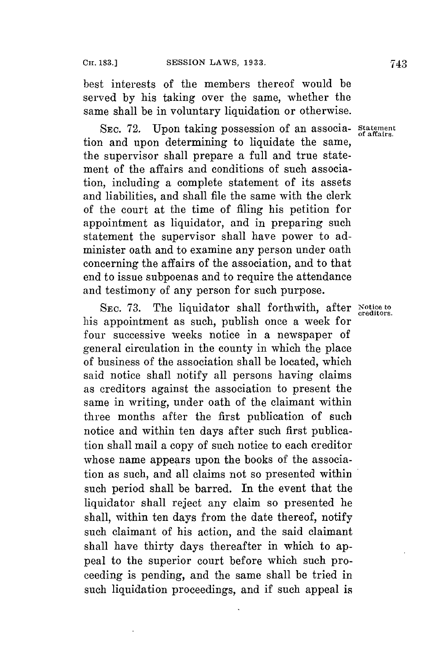best interests of the members thereof would be served **by** his taking over the same, whether the same shall be in voluntary liquidation or otherwise.

SEc. **72.** Upon taking possession of an associa- **Statement** tion and upon determining to liquidate the same, the supervisor shall prepare a full and true statement of the affairs and conditions of such association, including a complete statement of its assets and liabilities, and shall file the same with the clerk of the court at the time of filing his petition **for** appointment as liquidator, and in preparing such statement the supervisor shall have power to administer oath and to examine any person under oath concerning the affairs of the association, and to that end to issue subpoenas and to require the attendance and testimony of any person for such purpose.

SEC. 73. The liquidator shall forthwith, after Notice to creditors. his appointment as such, publish once a week for four successive weeks notice in a newspaper of general circulation in the county in which the place of business of the association shall be located, which said notice shall notify all persons having claims as creditors against the association to present the same in writing, under oath of the claimant within three months after the first publication of such notice and within ten days after such first publication shall mail a copy of such notice to each creditor whose name appears upon the books of the association as such, and all claims not so presented within such period shall be barred. In the event that the liquidator shall reject any claim so presented he shall, within ten days from the date thereof, notify such claimant of his action, and the said claimant shall have thirty days thereafter in which to appeal to the superior court before which such proceeding is pending, and the same shall be tried in such liquidation proceedings, and if such appeal is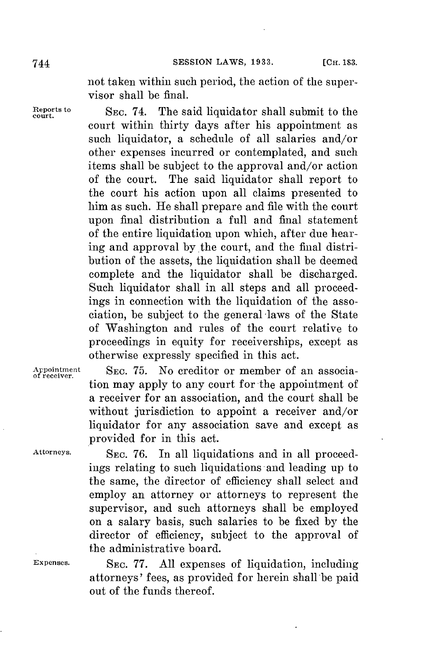not taken within such period, the action of the supervisor shall be final.

**Example 18** Equation SEC. 74. The said liquidator shall submit to the court within thirty days after his appointment as such liquidator, a schedule of all salaries and/or other expenses incurred or contemplated, and such items shall be subject to the approval and/or action of the court. The said liquidator shall report to the court his action upon all claims presented to him as such. He shall prepare and file with the court upon final distribution a full and final statement of the entire liquidation upon which, after due hearing and approval by the court, and the final distribution of the assets, the liquidation shall be deemed complete and the liquidator shall be discharged. Such liquidator shall in all steps and all proceedings in connection with the liquidation of the association, **be** subject to the general -laws of the State of Washington and rules of the court relative to proceedings in equity for receiverships, except as otherwise expressly specified in this act.

**Appointment SEc. 75.** No creditor or member of an associa- **of receiver.** tion may apply to any court for the appointment of a receiver for an association, and the court shall be without jurisdiction to appoint a receiver and/or liquidator for any association save and except as provided for in this act.

Attorneys. SEC. 76. In all liquidations and in all proceedings relating to such liquidations and leading up to the same, the director of efficiency shall select and employ an attorney or attorneys to represent the supervisor, and such attorneys shall be employed on a salary basis, such salaries to be fixed **by** the director of efficiency, subject to the approval of the administrative board.

**Expenses. SEC. 77. All** expenses of liquidation, including attorneys' fees, as provided for herein shall be paid out of the funds thereof.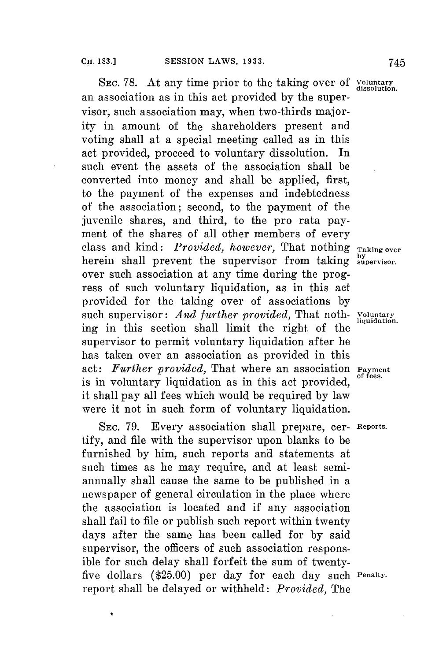SEC. 78. At any time prior to the taking over of *Voluntary* dissolution an association as in this act provided **by** the supervisor, such association may, when two-thirds majority in amount of the shareholders present and voting shall at a special meeting called as in this act provided, proceed to voluntary dissolution. In such event the assets of the association shall be converted into money and shall be applied, first, to the payment of the expenses and indebtedness of the association; second, to the payment of the juvenile shares, and third, to the pro rata payment of the shares of all other members of every class and kind: *Provided, however,* That nothing **Taking over** herein shall prevent the supervisor from taking **supervisor.** over such association at any time during the progress of such voluntary liquidation, as in this act provided for the taking over of associations **by** such supervisor: *And further provided*, That noth- *Voluntary*<br>liquidation. ing in this section shall limit the right of the supervisor to permit voluntary liquidation after he has taken over an association as provided in this act: *Further provided*, That where an association **Payment** act: *Further provided*, That where an association **Payment** is in voluntary liquidation as in this act provided, it shall pay all fees which would be required **by** law were it not in such form of voluntary liquidation.

SEc. **79.** Every association shall prepare, cer- **Reports.** tify, and file with the supervisor upon blanks to be furnished **by** him, such reports and statements at such times as he may require, and at least semiannually shall cause the same to be published in a newspaper of general circulation in the place where the association is located and if any association shall fail to file or publish such report within twenty days after the same has been called **for by** said supervisor, the officers of such association responsible **for** such delay shall forfeit the sum of twentyfive dollars **(\$25.00)** per day for each day such **Penalty.** report shall be delayed or withheld: *Provided,* The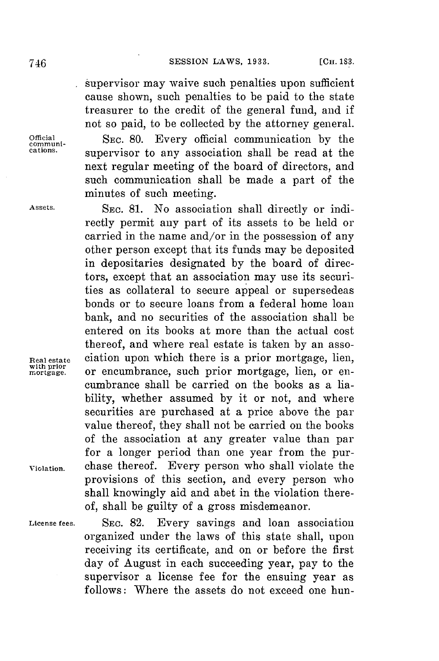supervisor may waive such penalties upon sufficient cause shown, such penalties to be paid to the state treasurer to the credit of the general fund, and if not so paid, to be collected **by** the attorney general. **Official** SEC. **80.** Every official communication **by** the **comnmuni**supervisor to any association shall be read at the next regular meeting of the board of directors, and such communication shall be made a part of the minutes of such meeting.

**Assets. SEC. 81.** No association shall directly or indirectly permit any part of its assets to be held or carried in the name and/or in the possession of any other person except that its funds may be deposited in depositaries designated **by** the board of directors, except that an association may use its securities as collateral to secure appeal or supersedeas bonds or to secure loans from a federal home loan bank, and no securities of the association shall be entered on its books at more than the actual cost thereof, and where real estate is taken **by** an asso-**Real estate** ciation upon which there is a prior mortgage, lien, **with prior mortgage.** or encumbrance, such prior mortgage, lien, or encumbrance shall be carried on the books as a liability, whether assumed **by** it or not, and where securities are purchased at a price above the par value thereof, they shall not be carried on the books of the association at any greater value than par **for** a longer period than one year from the pur-**Violation.** chase thereof. Every person who shall violate the provisions of this section, and every person who shall knowingly aid and abet in the violation thereof, shall be guilty of a gross misdemeanor.

**License fees. SEC. 82.** Every savings and loan association organized under the laws of this state shall, upon receiving its certificate, and on or before the first day of August in each succeeding year, pay to the supervisor a license fee for the ensuing year as follows: Where the assets do not exceed one hun-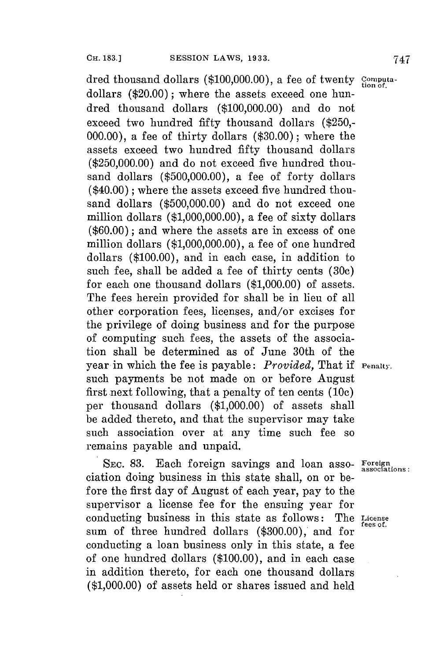dred thousand dollars **(\$100,000.00),** a fee of twenty **computa-**tion of. dollars (\$20.00); where the assets exceed one hundred thousand dollars **(\$100,000.00)** and do not exceed two hundred fifty thousand dollars **(\$250,- 000.00),** a fee of thirty dollars **(\$30.00);** where the assets exceed two hundred fifty thousand dollars **(\$250,000.00)** and do not exceed five hundred thousand dollars **(\$500,000.00),** a fee of forty dollars  $(\$40.00)$ ; where the assets exceed five hundred thousand dollars **(\$500,000.00)** and do not exceed one million dollars **(\$1,000,000.00),** a fee of sixty dollars **(\$60.00);** and where the assets are in excess of one million dollars **(\$1,000,000.00),** a fee of one hundred dollars **(\$100.00),** and in each case, in addition to such fee, shall be added a **fee** of thirty cents **(30c)** for each one thousand dollars **(\$1,000.00)** of assets.

The fees herein provided for shall be in lieu of all other corporation fees, licenses, and/or excises for the privilege of doing business and for the purpose of computing such fees, the assets of the association shall be determined as of June 30th of the year in which the fee is payable: *Provided,* That if **Penalty.** such payments be not made on or before August first next following, that a penalty of ten cents **(10c)** per thousand dollars **(\$1,000.00)** of assets shall be added thereto, and that the supervisor may take such association over at any time such fee so remains payable and unpaid.

**SEC. 83.** Each foreign savings and loan asso- **Foreign associations:** ciation doing business in this state shall, on or before the first day of August of each year, pay to the supervisor a license fee for the ensuing year for conducting business in this state as follows: The **License fees of.** sum of three hundred dollars (\$300.00), and for conducting a loan business only in this state, a fee of one hundred dollars **(\$100.00),** and in each case in addition thereto, for each one thousand dollars **(\$1,000.00)** of assets held or shares issued and held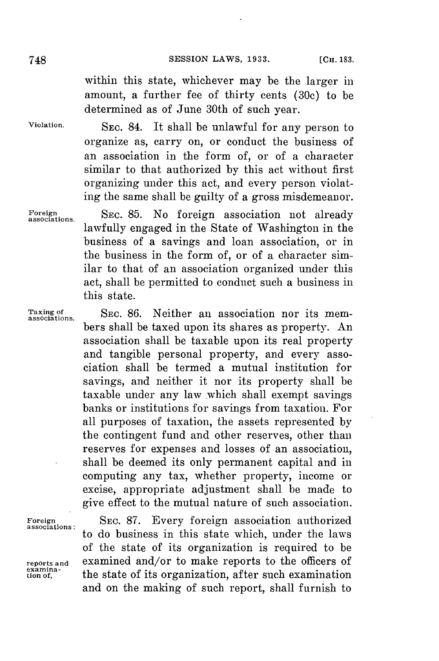within this state, whichever may be the larger in amount, a further fee of thirty cents **(30c)** to be determined as of June 30th of such year.

**Violation.** SEC. 84. It shall be unlawful for any person to organize as, carry on, or conduct the business of an association in the form of, or of a character similar to that authorized **by** this act without first organizing under this act, and every person violating the same shall be guilty of a gross misdemeanor.

**Foreign** SEc. **85.** No foreign association not already **associations.** lawfully engaged in the State of Washington in the business of a savings and loan association, or in the business in the form of, or of a character similar to that of an association organized under this act, shall be permitted to conduct such a business in this state.

> bers shall be taxed upon its shares as property. An association shall be taxable upon its real property and tangible personal property, and every association shall be termed a mutual institution for savings, and neither it nor its property shall be taxable under any law which shall exempt savings banks or institutions for savings from taxation. For all purposes of taxation, the assets represented **by** the contingent fund and other reserves, other than reserves for expenses and losses of an association, shall be deemed its only permanent capital and in computing any tax, whether property, income or excise, appropriate adjustment shall be made to give effect to the mutual nature of such association.

**Taxing of** SEC. **86.** Neither an association nor its mem- **associations.**

**Foreign** SEC. **87.** Every foreign association authorized **associations :** to do business in this state which, under the laws of the state of its organization is required to be **reports and** examined and/or to make reports to the officers of examina-<br> **examina-** <br> **examination** the state of its organization, after such examination the state of its organization, after such examination and on the making of such report, shall furnish to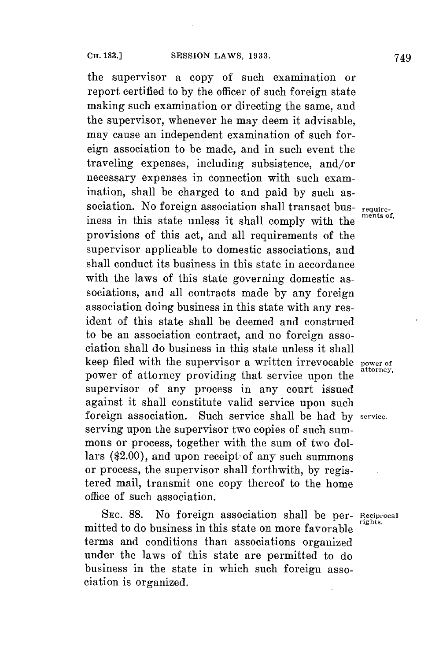the supervisor a copy of such examination or report certified to **by** the officer of such foreign state making such examination or directing the same, and the supervisor, whenever he may deem it advisable, may cause an independent examination of such foreign association to be made, and in such event the traveling expenses, including subsistence, and/or necessary expenses in connection with such examination, shall be charged to and paid **by** such association. No foreign association shall transact business in this state unless it shall comply with the provisions of this act, and all requirements of the supervisor applicable to domestic associations, and shall conduct its business in this state in accordance with the laws of this state governing domestic associations, and all contracts made **by** any foreign association doing business in this state with any resident of this state shall be deemed and construed to be an association contract, and no foreign association shall do business in this state unless it shall keep filed with the supervisor a written irrevocable **power of** power of attorney providing that service upon the supervisor of any process in any court issued against it shall constitute valid service upon such foreign association. Such service shall be had **by service.** serving upon the supervisor two copies of such summons or process, together with the sum of two dollars (\$2.00), and upon receipt of any such summons or process, the supervisor shall forthwith, **by** registered mail, transmit one copy thereof to the home office of such association.

SEc. **88.** No foreign association shall be per- **Reciprocal** mitted to do business in this state on more favorable terms and conditions than associations organized under the laws of this state are permitted to do business in the state in which such foreign association is organized.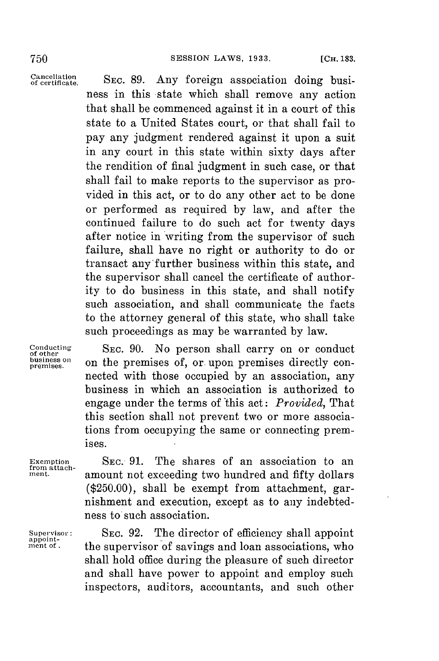Cancellation **SEC. 89.**<br>of certificate. **SEC. 89.** Any foreign association doing business in this state which shall remove any action that shall be commenced against it in a court of this state to a United States court, or that shall fail to pay any judgment rendered against it upon a suit in any court in this state within sixty days after the rendition of final judgment in such case, or that shall fail to make reports to the supervisor as provided in this act, or to do any other act to be done or performed as required **by** law, and after the continued failure to do such act for twenty days after notice in writing from the supervisor of such failure, shall have no right or authority to do or transact any further business within this state, and the supervisor shall cancel the certificate of authority to do business in this state, and shall notify such association, and shall communicate the facts to the attorney general of this state, who shall take such proceedings as may be warranted **by** law.

Conducting SEC. 90. No person shall carry on or conduct<br>business on a sphe promises of on upon promises directly con business on on the premises of, or upon premises directly connected with those occupied **by** an association, any business in which an association is authorized to engage under the terms of this act: *Provided,* That this section shall not prevent two or more associations from occupying the same or connecting premises.

Exemption SEC. 91. The shares of an association to an *from attach-* amount not exceeding two hundred and fifty dollars **ment.** amount not exceeding two hundred and fifty dollars **(\$250.00),** shall be exempt from attachment, garnishment and execution, except as to any indebtedness to such association.

Supervisor: SEC. 92. The director of efficiency shall appoint<br>appoint-<br>ment of approximate and losp associations who the supervisor of savings and loan associations, who shall hold office during the pleasure of such director and shall have power to appoint and employ such inspectors, auditors, accountants, and such other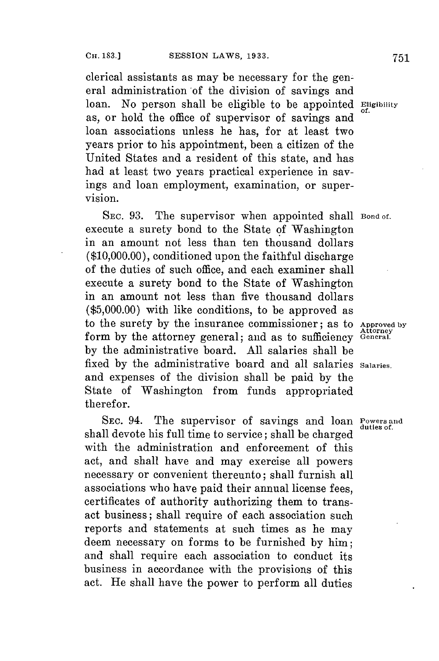clerical assistants as may be necessary for the general administration of the division of savings and loan. No person shall be eligible to be appointed **Eligibility** as, or hold the office of supervisor of savings and loan associations unless he has, for at least two years prior to his appointment, been a citizen of the United States and a resident of this state, and has had at least two years practical experience in savings and loan employment, examination, or supervision.

SEC. 93. The supervisor when appointed shall **Bond of.** execute a surety bond to the State of Washington in an amount not less than ten thousand dollars **(\$10,000.00),** conditioned upon the faithful discharge of the duties of such office, and each examiner shall execute a surety bond to the State of Washington in an amount not less than five thousand dollars  $(*5,000.00)$  with like conditions, to be approved as to the surety by the insurance commissioner; as to Approved by form by the attorney general; and as to sufficiency **General**. **by** the administrative board. **All** salaries shall be fixed **by** the administrative board and all salaries **Salaries.** and expenses of the division shall be paid **by** the State of Washington from funds appropriated therefor.

**SEC.** 94. The supervisor of savings and loan **Powers and duties** *of.* shall devote his full time to service; shall be charged with the administration and enforcement of this act, and shall have and may exercise all powers necessary or convenient thereunto; shall furnish all associations who have paid their annual license fees, certificates of authority authorizing them to transact business; shall require of each association such reports and statements at such times as he may deem necessary on forms to be furnished **by** him; and shall require each association to conduct its business in accordance with the provisions of this act. He shall have the power to perform all duties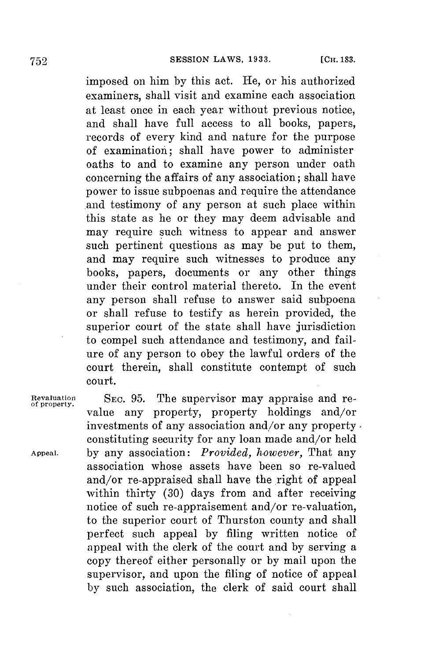imposed on him **by** this act. He, or his authorized examiners, shall visit and examine each association at least once in each year without previous notice, and shall have full access to all books, papers, records of every kind and nature for the purpose of examination; shall have power to administer oaths to and to examine any person under oath concerning the affairs of any association; shall have power to issue subpoenas and require the attendance .and testimony of any person at such place within this state as he or they may deem advisable and may require such witness to appear and answer such pertinent questions as may be put to them, and may require such witnesses to produce any books, papers, documents or any other things under their control material thereto. In the event any person shall refuse to answer said subpoena or shall refuse to testify as herein provided, the superior court of the state shall have jurisdiction to compel such attendance and testimony, and failure of any person to obey the lawful orders of the court therein, shall constitute contempt of such court.

**Revaluation SEC. 95.** The supervisor may appraise and re- **of property.** value any property, property holdings and/or investments of any association and/or any property constituting security for any loan made and/or held **Appeal. by** any association: *Provided, however,* That any association whose assets have been so re-valued and/or re-appraised shall have the right of appeal within thirty (30) days from and after receiving notice of such re-appraisement and/or re-valuation, to the superior court of Thurston county and shall perfect such appeal **by** filing written notice of appeal with the clerk of the court and **by** serving a copy thereof either personally or **by** mail upon the supervisor, and upon the filing of notice of appeal **by** such association, the clerk of said court shall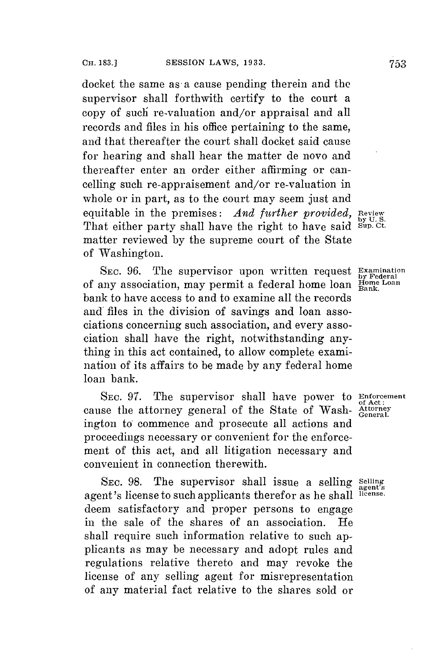docket the same as a cause pending therein and the supervisor shall forthwith certify to the court a copy of such re-valuation and/or appraisal and all records and files in his office pertaining to the same, and that thereafter the court shall docket said cause **for** hearing and shall hear the matter de novo and thereafter enter an order either affirming or cancelling such re-appraisement and/or re-valuation in whole or in part, as to the court may seem just and equitable in the premises: *And further provided*, Review That either party shall have the right to have said sup. ct. matter reviewed **by** the supreme court of the State of Washington.

SEC. 96. The supervisor upon written request **Examination** of any association, may permit a federal home loan **Home Loan**<br>of any association, may permit a federal home loan  $\frac{H_{\text{Oone}}}{Bank}$ bank to have access to and to examine all the records and files in the division of savings and loan associations concerning such association, and every association shall have the right, notwithstanding anything in this act contained, to allow complete examination of its affairs to be made **by** any federal home loan bank.

**SEC. 97.** The supervisor shall have power to **Enforcement of Act:**<br>
cause the attorney general of the State of Wash- Attorney ington to commence and prosecute all actions and proceedings necessary or convenient for the enforcement of this act, and all litigation necessary and convenient in connection therewith.

SEC. 98. The supervisor shall issue a selling Selling agent's license to such applicants therefor as he shall **license.** deem satisfactory and proper persons to engage in the sale of the shares of an association. shall require such information relative to such applicants as may be necessary and adopt rules and regulations relative thereto and may revoke the license of any selling agent for misrepresentation of any material fact relative to the shares sold or

agent's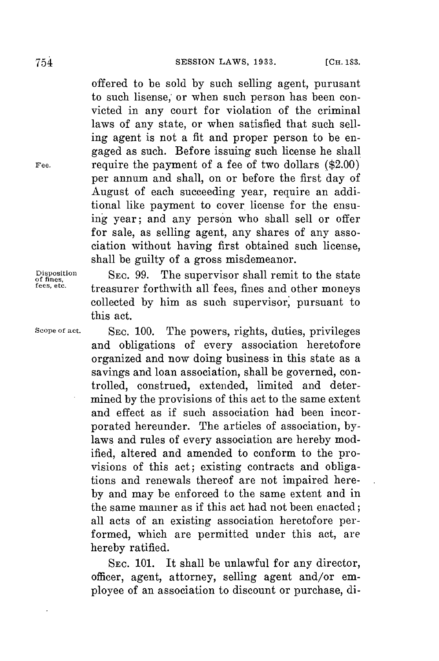offered to be sold **by** such selling agent, purusant to such lisense; or when such person has been convicted in any court for violation of the criminal laws of any state, or when satisfied that such selling agent is not a fit and proper person to be engaged as such. Before issuing such license he shall **Fee.** require the payment of a fee of two dollars (\$2.00) per annum and shall, on or before the first day of August of each succeeding year, require an additional like payment to cover license for the ensuing year; and any person who shall sell or offer for sale, as selling agent, any shares of any association without having first obtained such license, shall be guilty of a gross misdemeanor.

**Disposition SEC. 99.** The supervisor shall remit to the state **of fines, fees, etc.** treasurer forthwith all fees, fines and other moneys collected **by** him as such supervisor, pursuant to this act.

**Scope of act. SEC. 100.** The powers, rights, duties, privileges and obligations of every association heretofore organized and now doing business in this state as a savings and loan association, shall be governed, controlled, construed, extended, limited and determined **by** the provisions of this act to the same extent and effect as if such association had been incorporated hereunder. The articles of association, **by**laws and rules of every association are hereby modified, altered and amended to conform to the provisions of this act; existing contracts and obligations and renewals thereof are not impaired here**by** and may be enforced to the same extent and in the same manner as if this act had not been enacted; all acts of an existing association heretofore performed, which are permitted under this act, are hereby ratified.

> **SEC. 101.** It shall be unlawful for any director, officer, agent, attorney, selling agent and/or employee of an association to discount or purchase, di-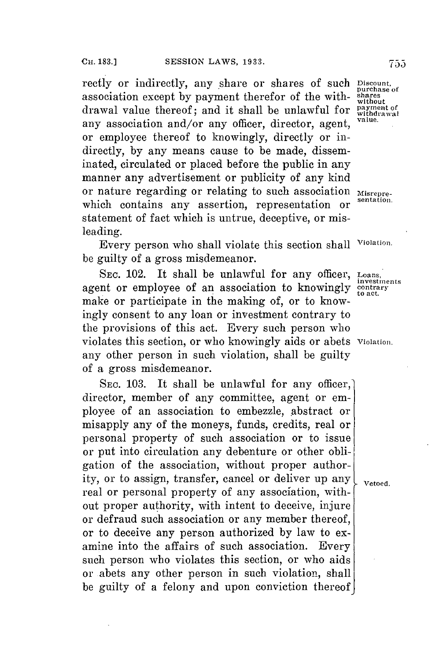rectly or indirectly, any share or shares of such **Discount**, association except by payment therefor of the withdrawal value thereof; and it shall be unlawful for **payment** of any association and/or any officer, director, agent, or employee thereof to knowingly, directly or indirectly, **by** any means cause to be made, disseminated, circulated or placed before the public in any manner any advertisement or publicity of any kind or nature regarding or relating to such association **Misrepre**which contains any assertion, representation or statement of fact which is untrue, deceptive, or misleading.

Every person who shall violate this section shall **Violation.** be guilty of a gross misdemeanor.

**SEC.** 102. It shall be unlawful **for** any officer, **Loans,** agent or employee of an association to knowingly contrary make or participate in the making of, or to knowingly consent to any loan or investment contrary to the provisions of this act. Every such person who violates this section, or who knowingly aids or abets **Violation.** any other person in such violation, shall be guilty of a gross misdemeanor.

SEC. 103. It shall be unlawful for any officer, director, member of any committee, agent or employee of an association to embezzle, abstract or misapply any of the moneys, funds, credits, real or personal property of such association or to issue or put into circulation any debenture or other obligation of the association, without proper authority, or to assign, transfer, cancel or deliver up any  $\int_{\text{Vetoed}}$ real or personal property of any association, without proper authority, with intent to deceive, injure or defraud such association or any member thereof, or to deceive any person authorized **by** law to examine into the affairs of such association. Every such person who violates this section, or who aids or abets any other person in such violation, shall be guilty of a felony and upon conviction thereof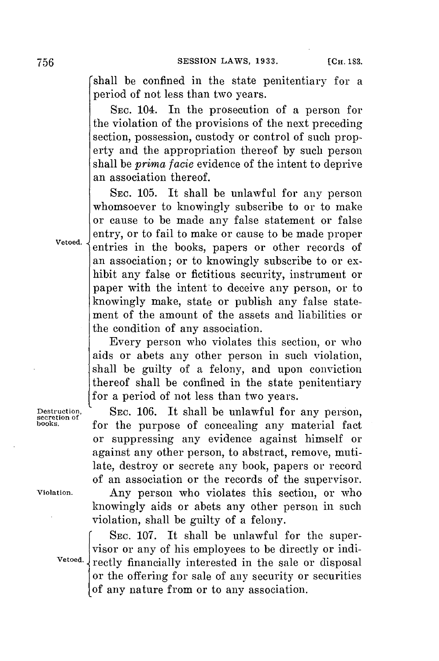shall be confined in the state penitentiary **for** a period of not less than two years.

**SEC.** 104. In the prosecution of a person for the violation of the provisions of the next preceding section, possession, custody or control of such property and the appropriation thereof **by** such person shall be *prima facie* evidence of the intent to deprive an association thereof.

**SEC. 105.** It shall be unlawful for any person whomsoever to knowingly subscribe to or to make or cause to be made any false statement or false entry, or to fail to make or cause to be made proper entries in the books, papers or other records of an association; or to knowingly subscribe to or exhibit any false or fictitious security, instrument or paper with the intent to deceive any person, or to knowingly make, state or publish any false statement of the amount of the assets and liabilities or the condition of any association.

Every person who violates this section, or who aids or abets any other person in such violation, shall be guilty of a felony, and upon conviction thereof shall be confined in the state penitentiary for a period of not less than two years.

Destruction, SEC. 106. It shall be unlawful for any person, secretion of **SEC.** 106. It shall be unlawful for any material fact for the purpose of concealing any material fact or suppressing any evidence against himself or against any other person, to abstract, remove, mutilate, destroy or secrete any book, papers or record of an association or the records of the supervisor.

**violation.** Any person who violates this section, or who knowingly aids or abets any other person in such violation, shall be guilty of a felony.

**SEC. 107.** It shall be unlawful for the supervisor or any of his employees to be directly or indi-Vetoed. **The Interested** in the sale or disposal or the offering for sale of any security or securities of any nature from or to any association.

Vetoed.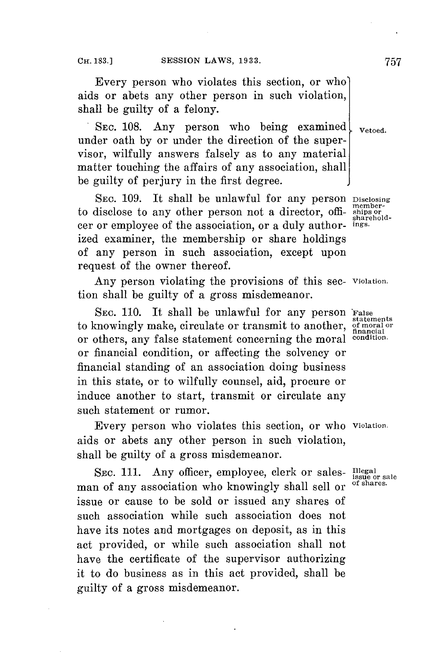Every person who violates this section, or who aids or abets any other person in such violation, shall be guilty of a felony.

SEC. 108. Any person who being examined  $\mathbf{V}_{\text{retoed.}}$ under oath **by** or under the direction of the supervisor, wilfully answers falsely as to any material matter touching the affairs of any association, shall be guilty of perjury in the first degree.

SEC. 109. It shall be unlawful for any person Disclosing to disclose to any other person not a director, offi- ships or<br>
car or employee of the conceiving  $\frac{1}{n}$ cer or employee of the association, or a duly author- ings. ized examiner, the membership or share holdings of any person in such association, except upon request of the owner thereof.

Any person violating the provisions of this sec- **Violation.** tion shall be guilty of a gross misdemeanor.

SEC. 110. It shall be unlawful for any person False statements statemnents to knowingly make, circulate or transmit to another, **of moral or financial** or others, any false statement concerning the moral **condition.** or financial condition, or affecting the solvency or financial standing of an association doing business in this state, or to wilfully counsel, aid, procure or induce another to start, transmit or circulate any such statement or rumor.

Every person who violates this section, or who **Violation.** aids or abets any other person in such violation, shall be guilty of a gross misdemeanor.

SEC. 111. Any officer, employee, clerk or sales- **Illegal** issue or sale man of any association who knowingly shall sell or issue or cause to be sold or issued any shares of such association while such association does not have its notes and mortgages on deposit, as in this act provided, or while such association shall not have the certificate of the supervisor authorizing it to do business as in this act provided, shall be guilty of a gross misdemeanor.

**Isof sae**